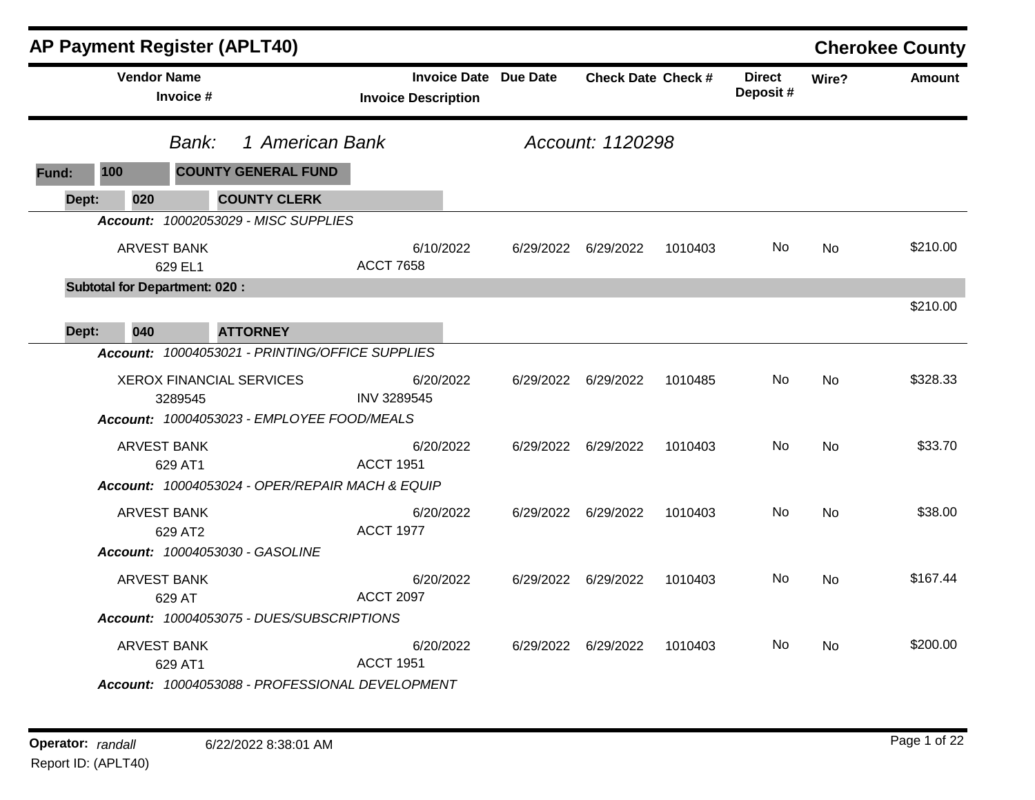|       | <b>AP Payment Register (APLT40)</b>  |                               |                                                                               |                            |           |                              |                           |         |                            |           | <b>Cherokee County</b> |
|-------|--------------------------------------|-------------------------------|-------------------------------------------------------------------------------|----------------------------|-----------|------------------------------|---------------------------|---------|----------------------------|-----------|------------------------|
|       | <b>Vendor Name</b>                   | Invoice #                     |                                                                               | <b>Invoice Description</b> |           | <b>Invoice Date Due Date</b> | <b>Check Date Check #</b> |         | <b>Direct</b><br>Deposit # | Wire?     | <b>Amount</b>          |
|       |                                      | Bank:                         | 1 American Bank                                                               |                            |           |                              | Account: 1120298          |         |                            |           |                        |
| Fund: | 100                                  |                               | <b>COUNTY GENERAL FUND</b>                                                    |                            |           |                              |                           |         |                            |           |                        |
| Dept: | 020                                  |                               | <b>COUNTY CLERK</b>                                                           |                            |           |                              |                           |         |                            |           |                        |
|       |                                      |                               | Account: 10002053029 - MISC SUPPLIES                                          |                            |           |                              |                           |         |                            |           |                        |
|       |                                      | <b>ARVEST BANK</b><br>629 EL1 |                                                                               | <b>ACCT 7658</b>           | 6/10/2022 | 6/29/2022                    | 6/29/2022                 | 1010403 | No.                        | No        | \$210.00               |
|       | <b>Subtotal for Department: 020:</b> |                               |                                                                               |                            |           |                              |                           |         |                            |           |                        |
| Dept: | 040                                  |                               | <b>ATTORNEY</b>                                                               |                            |           |                              |                           |         |                            |           | \$210.00               |
|       |                                      |                               | Account: 10004053021 - PRINTING/OFFICE SUPPLIES                               |                            |           |                              |                           |         |                            |           |                        |
|       |                                      | 3289545                       | <b>XEROX FINANCIAL SERVICES</b><br>Account: 10004053023 - EMPLOYEE FOOD/MEALS | <b>INV 3289545</b>         | 6/20/2022 | 6/29/2022                    | 6/29/2022                 | 1010485 | No                         | <b>No</b> | \$328.33               |
|       |                                      | <b>ARVEST BANK</b><br>629 AT1 |                                                                               | <b>ACCT 1951</b>           | 6/20/2022 |                              | 6/29/2022 6/29/2022       | 1010403 | No                         | <b>No</b> | \$33.70                |
|       |                                      |                               | Account: 10004053024 - OPER/REPAIR MACH & EQUIP                               |                            |           |                              |                           |         |                            |           |                        |
|       |                                      | <b>ARVEST BANK</b><br>629 AT2 |                                                                               | <b>ACCT 1977</b>           | 6/20/2022 |                              | 6/29/2022 6/29/2022       | 1010403 | No                         | <b>No</b> | \$38.00                |
|       |                                      |                               | Account: 10004053030 - GASOLINE                                               |                            |           |                              |                           |         |                            |           |                        |
|       |                                      | <b>ARVEST BANK</b><br>629 AT  |                                                                               | <b>ACCT 2097</b>           | 6/20/2022 |                              | 6/29/2022 6/29/2022       | 1010403 | No.                        | No        | \$167.44               |
|       |                                      |                               | Account: 10004053075 - DUES/SUBSCRIPTIONS                                     |                            |           |                              |                           |         |                            |           |                        |
|       |                                      | <b>ARVEST BANK</b><br>629 AT1 | Account: 10004053088 - PROFESSIONAL DEVELOPMENT                               | <b>ACCT 1951</b>           | 6/20/2022 | 6/29/2022                    | 6/29/2022                 | 1010403 | No                         | <b>No</b> | \$200.00               |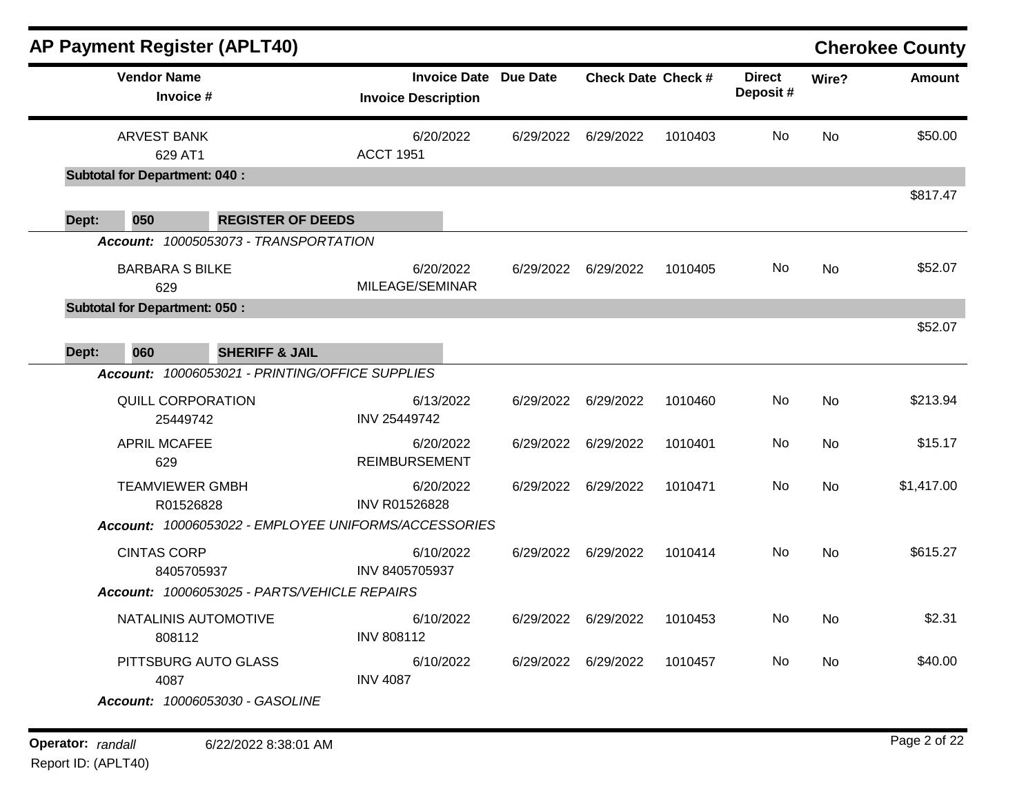|       | <b>AP Payment Register (APLT40)</b>  |                                                                              |                            |                     |           |                           |         |                           |           | <b>Cherokee County</b> |
|-------|--------------------------------------|------------------------------------------------------------------------------|----------------------------|---------------------|-----------|---------------------------|---------|---------------------------|-----------|------------------------|
|       | <b>Vendor Name</b><br>Invoice #      |                                                                              | <b>Invoice Description</b> | <b>Invoice Date</b> | Due Date  | <b>Check Date Check #</b> |         | <b>Direct</b><br>Deposit# | Wire?     | <b>Amount</b>          |
|       | <b>ARVEST BANK</b><br>629 AT1        |                                                                              | <b>ACCT 1951</b>           | 6/20/2022           | 6/29/2022 | 6/29/2022                 | 1010403 | No.                       | No        | \$50.00                |
|       | <b>Subtotal for Department: 040:</b> |                                                                              |                            |                     |           |                           |         |                           |           | \$817.47               |
| Dept: | 050                                  | <b>REGISTER OF DEEDS</b><br>Account: 10005053073 - TRANSPORTATION            |                            |                     |           |                           |         |                           |           |                        |
|       | <b>BARBARA S BILKE</b><br>629        |                                                                              | MILEAGE/SEMINAR            | 6/20/2022           | 6/29/2022 | 6/29/2022                 | 1010405 | No                        | No        | \$52.07                |
|       | <b>Subtotal for Department: 050:</b> |                                                                              |                            |                     |           |                           |         |                           |           | \$52.07                |
| Dept: | 060                                  | <b>SHERIFF &amp; JAIL</b><br>Account: 10006053021 - PRINTING/OFFICE SUPPLIES |                            |                     |           |                           |         |                           |           |                        |
|       | <b>QUILL CORPORATION</b><br>25449742 |                                                                              | INV 25449742               | 6/13/2022           | 6/29/2022 | 6/29/2022                 | 1010460 | No                        | <b>No</b> | \$213.94               |
|       | <b>APRIL MCAFEE</b><br>629           |                                                                              | <b>REIMBURSEMENT</b>       | 6/20/2022           | 6/29/2022 | 6/29/2022                 | 1010401 | No                        | No        | \$15.17                |
|       | <b>TEAMVIEWER GMBH</b><br>R01526828  | Account: 10006053022 - EMPLOYEE UNIFORMS/ACCESSORIES                         | <b>INV R01526828</b>       | 6/20/2022           | 6/29/2022 | 6/29/2022                 | 1010471 | No                        | <b>No</b> | \$1,417.00             |
|       |                                      |                                                                              |                            |                     |           |                           |         | No.                       |           | \$615.27               |
|       | <b>CINTAS CORP</b><br>8405705937     |                                                                              | INV 8405705937             | 6/10/2022           | 6/29/2022 | 6/29/2022                 | 1010414 |                           | <b>No</b> |                        |
|       |                                      | Account: 10006053025 - PARTS/VEHICLE REPAIRS                                 |                            |                     |           |                           |         |                           |           |                        |
|       | NATALINIS AUTOMOTIVE<br>808112       |                                                                              | <b>INV 808112</b>          | 6/10/2022           | 6/29/2022 | 6/29/2022                 | 1010453 | No                        | <b>No</b> | \$2.31                 |
|       | PITTSBURG AUTO GLASS<br>4087         |                                                                              | <b>INV 4087</b>            | 6/10/2022           | 6/29/2022 | 6/29/2022                 | 1010457 | No                        | No.       | \$40.00                |
|       |                                      | Account: 10006053030 - GASOLINE                                              |                            |                     |           |                           |         |                           |           |                        |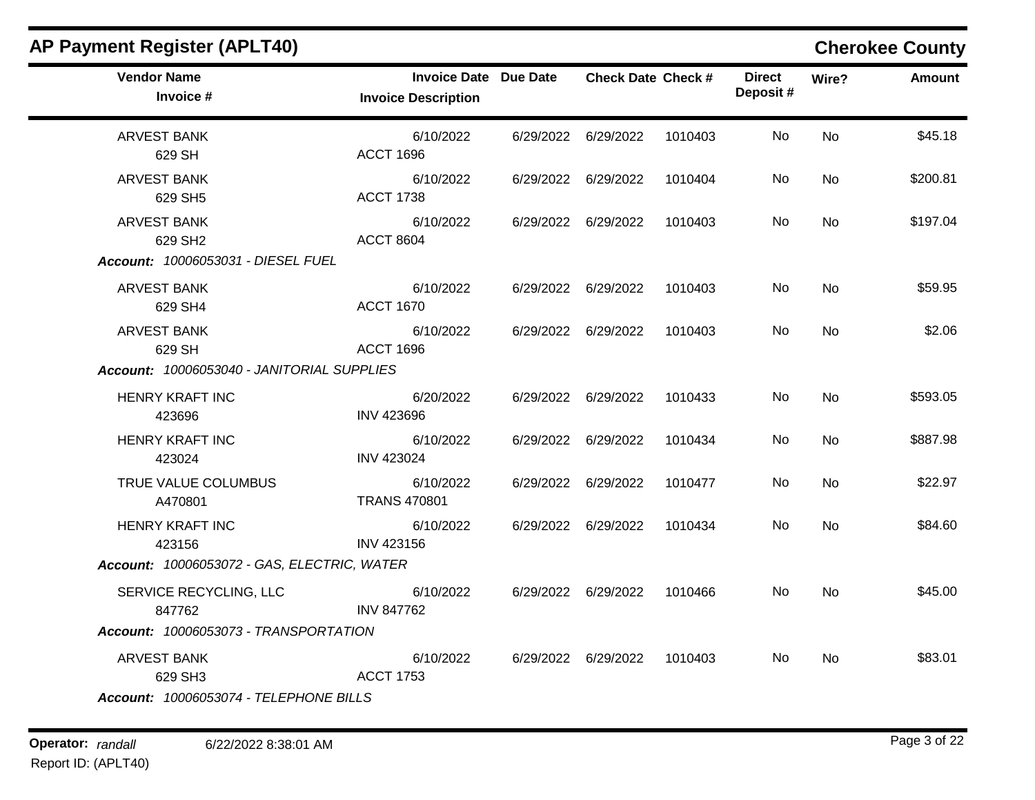| <b>Vendor Name</b><br>Invoice #                                                 | Invoice Date Due Date<br><b>Invoice Description</b> | <b>Check Date Check #</b> |         | <b>Direct</b><br>Deposit# | Wire?          | Amount   |
|---------------------------------------------------------------------------------|-----------------------------------------------------|---------------------------|---------|---------------------------|----------------|----------|
| <b>ARVEST BANK</b><br>629 SH                                                    | 6/10/2022<br><b>ACCT 1696</b>                       | 6/29/2022 6/29/2022       | 1010403 | No.                       | <b>No</b>      | \$45.18  |
| <b>ARVEST BANK</b><br>629 SH5                                                   | 6/10/2022<br><b>ACCT 1738</b>                       | 6/29/2022 6/29/2022       | 1010404 | No                        | <b>No</b>      | \$200.81 |
| <b>ARVEST BANK</b><br>629 SH <sub>2</sub><br>Account: 10006053031 - DIESEL FUEL | 6/10/2022<br><b>ACCT 8604</b>                       | 6/29/2022 6/29/2022       | 1010403 | No.                       | <b>No</b>      | \$197.04 |
| <b>ARVEST BANK</b><br>629 SH4                                                   | 6/10/2022<br><b>ACCT 1670</b>                       | 6/29/2022 6/29/2022       | 1010403 | No                        | <b>No</b>      | \$59.95  |
| <b>ARVEST BANK</b><br>629 SH<br>Account: 10006053040 - JANITORIAL SUPPLIES      | 6/10/2022<br><b>ACCT 1696</b>                       | 6/29/2022 6/29/2022       | 1010403 | No.                       | <b>No</b>      | \$2.06   |
| <b>HENRY KRAFT INC</b><br>423696                                                | 6/20/2022<br><b>INV 423696</b>                      | 6/29/2022 6/29/2022       | 1010433 | No.                       | No             | \$593.05 |
| <b>HENRY KRAFT INC</b><br>423024                                                | 6/10/2022<br><b>INV 423024</b>                      | 6/29/2022 6/29/2022       | 1010434 | No.                       | <b>No</b>      | \$887.98 |
| TRUE VALUE COLUMBUS<br>A470801                                                  | 6/10/2022<br><b>TRANS 470801</b>                    | 6/29/2022 6/29/2022       | 1010477 | No.                       | <b>No</b>      | \$22.97  |
| <b>HENRY KRAFT INC</b><br>423156<br>Account: 10006053072 - GAS, ELECTRIC, WATER | 6/10/2022<br><b>INV 423156</b>                      | 6/29/2022 6/29/2022       | 1010434 | No.                       | No             | \$84.60  |
| SERVICE RECYCLING, LLC<br>847762<br>Account: 10006053073 - TRANSPORTATION       | 6/10/2022<br><b>INV 847762</b>                      | 6/29/2022 6/29/2022       | 1010466 | No.                       | <b>No</b>      | \$45.00  |
| <b>ARVEST BANK</b><br>629 SH3<br>Account: 10006053074 - TELEPHONE BILLS         | 6/10/2022<br><b>ACCT 1753</b>                       | 6/29/2022 6/29/2022       | 1010403 | No.                       | N <sub>o</sub> | \$83.01  |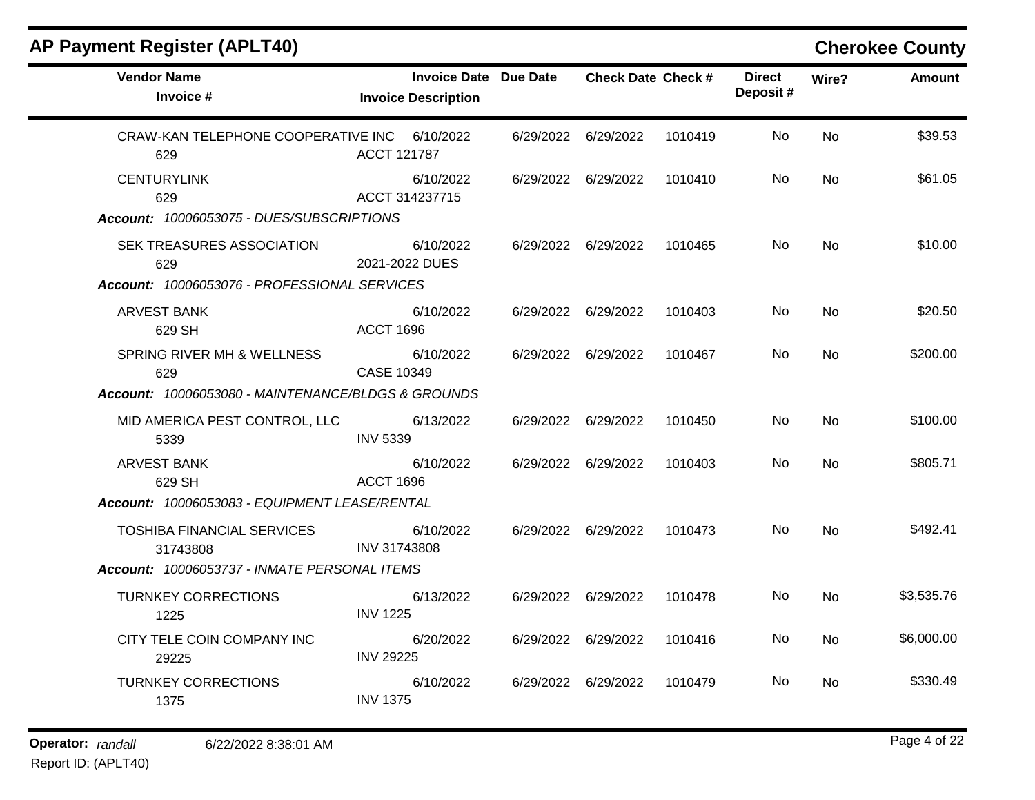|                               |                                                                                                                                 |                              |         |                           |           | <b>Cherokee Count</b> |
|-------------------------------|---------------------------------------------------------------------------------------------------------------------------------|------------------------------|---------|---------------------------|-----------|-----------------------|
| <b>Invoice Description</b>    |                                                                                                                                 |                              |         | <b>Direct</b><br>Deposit# | Wire?     | Amoun                 |
| 6/10/2022<br>ACCT 121787      | 6/29/2022                                                                                                                       | 6/29/2022                    | 1010419 | No.                       | <b>No</b> | \$39.53               |
| 6/10/2022<br>ACCT 314237715   | 6/29/2022                                                                                                                       | 6/29/2022                    | 1010410 | No                        | <b>No</b> | \$61.05               |
|                               |                                                                                                                                 |                              |         |                           |           |                       |
| 6/10/2022<br>2021-2022 DUES   | 6/29/2022                                                                                                                       | 6/29/2022                    | 1010465 | No                        | <b>No</b> | \$10.00               |
|                               |                                                                                                                                 |                              |         |                           |           |                       |
| 6/10/2022<br><b>ACCT 1696</b> | 6/29/2022                                                                                                                       | 6/29/2022                    | 1010403 | No.                       | <b>No</b> | \$20.50               |
|                               | CRAW-KAN TELEPHONE COOPERATIVE INC<br>Account: 10006053075 - DUES/SUBSCRIPTIONS<br>Account: 10006053076 - PROFESSIONAL SERVICES | <b>Invoice Date Due Date</b> |         | <b>Check Date Check #</b> |           |                       |

CASE 10349

INV 5339

ACCT 1696

INV 31743808

INV 1225

INV 29225

INV 1375

# **Operator:** randall 6/22/2022 8:38:01 AM *Page 4 of 22*

SPRING RIVER MH & WELLNESS

MID AMERICA PEST CONTROL, LLC

TOSHIBA FINANCIAL SERVICES

CITY TELE COIN COMPANY INC

*Account: 10006053080 - MAINTENANCE/BLDGS & GROUNDS*

*Account: 10006053083 - EQUIPMENT LEASE/RENTAL*

*Account: 10006053737 - INMATE PERSONAL ITEMS*

629

5339

31743808

1225

29225

1375

TURNKEY CORRECTIONS

TURNKEY CORRECTIONS

ARVEST BANK 629 SH

Report ID: (APLT40)

### **Cherokee County**

No

No

No

No

No

No

No

6/10/2022 6/29/2022 6/29/2022 1010467 No \$200.00

6/13/2022 6/29/2022 6/29/2022 1010450 No \$100.00

6/10/2022 6/29/2022 6/29/2022 1010403 No \$805.71

6/10/2022 6/29/2022 6/29/2022 1010473 No \$492.41

6/13/2022 6/29/2022 6/29/2022 1010478 No \$3,535.76

6/20/2022 6/29/2022 6/29/2022 1010416 No \$6,000.00

6/10/2022 6/29/2022 6/29/2022 1010479 No \$330.49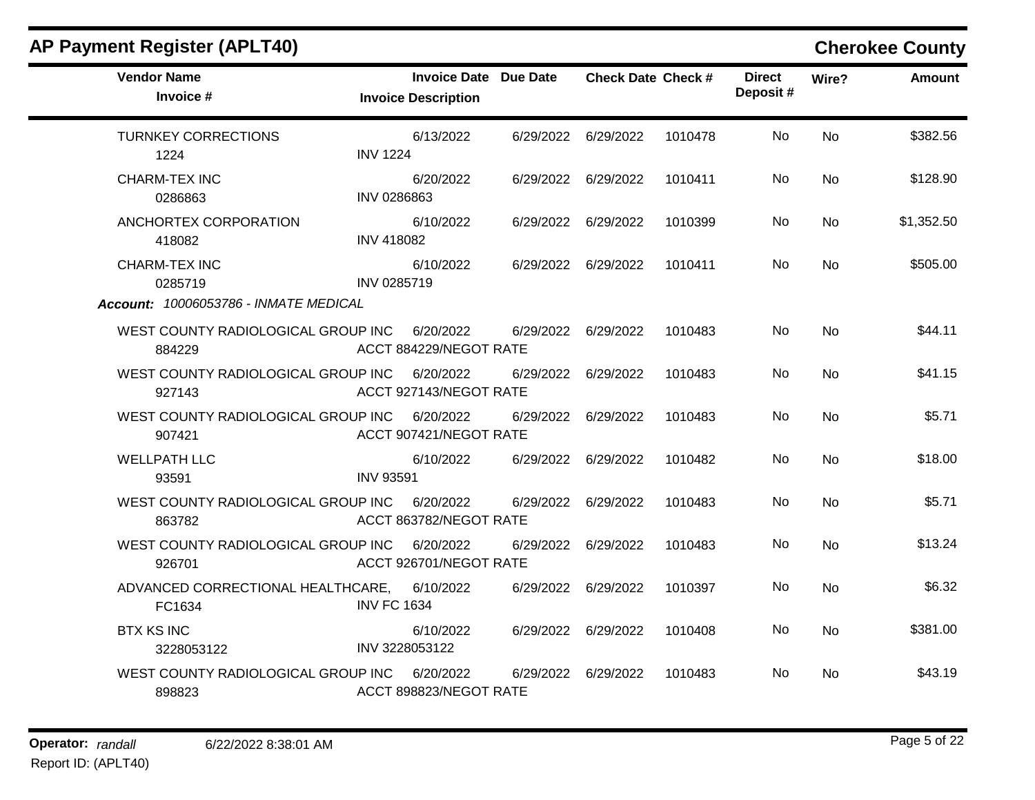|                                                                          |                                     |                              |                           |         |                           |           | <b>ONGIORGE OUGHLY</b> |
|--------------------------------------------------------------------------|-------------------------------------|------------------------------|---------------------------|---------|---------------------------|-----------|------------------------|
| <b>Vendor Name</b><br>Invoice #                                          | <b>Invoice Description</b>          | <b>Invoice Date Due Date</b> | <b>Check Date Check #</b> |         | <b>Direct</b><br>Deposit# | Wire?     | Amount                 |
| <b>TURNKEY CORRECTIONS</b><br>1224                                       | 6/13/2022<br><b>INV 1224</b>        |                              | 6/29/2022 6/29/2022       | 1010478 | No.                       | <b>No</b> | \$382.56               |
| <b>CHARM-TEX INC</b><br>0286863                                          | 6/20/2022<br>INV 0286863            |                              | 6/29/2022 6/29/2022       | 1010411 | No                        | <b>No</b> | \$128.90               |
| ANCHORTEX CORPORATION<br>418082                                          | 6/10/2022<br><b>INV 418082</b>      |                              | 6/29/2022 6/29/2022       | 1010399 | No.                       | <b>No</b> | \$1,352.50             |
| <b>CHARM-TEX INC</b><br>0285719<br>Account: 10006053786 - INMATE MEDICAL | 6/10/2022<br>INV 0285719            |                              | 6/29/2022 6/29/2022       | 1010411 | No                        | <b>No</b> | \$505.00               |
| WEST COUNTY RADIOLOGICAL GROUP INC<br>884229                             | 6/20/2022<br>ACCT 884229/NEGOT RATE |                              | 6/29/2022 6/29/2022       | 1010483 | No.                       | <b>No</b> | \$44.11                |
| WEST COUNTY RADIOLOGICAL GROUP INC<br>927143                             | 6/20/2022<br>ACCT 927143/NEGOT RATE | 6/29/2022                    | 6/29/2022                 | 1010483 | No.                       | <b>No</b> | \$41.15                |
| WEST COUNTY RADIOLOGICAL GROUP INC<br>907421                             | 6/20/2022<br>ACCT 907421/NEGOT RATE |                              | 6/29/2022 6/29/2022       | 1010483 | No.                       | <b>No</b> | \$5.71                 |
| <b>WELLPATH LLC</b><br>93591                                             | 6/10/2022<br><b>INV 93591</b>       |                              | 6/29/2022 6/29/2022       | 1010482 | No.                       | <b>No</b> | \$18.00                |
| WEST COUNTY RADIOLOGICAL GROUP INC<br>863782                             | 6/20/2022<br>ACCT 863782/NEGOT RATE |                              | 6/29/2022 6/29/2022       | 1010483 | No                        | <b>No</b> | \$5.71                 |
| WEST COUNTY RADIOLOGICAL GROUP INC 6/20/2022<br>926701                   | ACCT 926701/NEGOT RATE              |                              | 6/29/2022 6/29/2022       | 1010483 | No.                       | <b>No</b> | \$13.24                |
| ADVANCED CORRECTIONAL HEALTHCARE,<br>FC1634                              | 6/10/2022<br><b>INV FC 1634</b>     |                              | 6/29/2022 6/29/2022       | 1010397 | No                        | <b>No</b> | \$6.32                 |
| <b>BTX KS INC</b><br>3228053122                                          | 6/10/2022<br>INV 3228053122         |                              | 6/29/2022 6/29/2022       | 1010408 | No                        | <b>No</b> | \$381.00               |
| WEST COUNTY RADIOLOGICAL GROUP INC<br>898823                             | 6/20/2022<br>ACCT 898823/NEGOT RATE | 6/29/2022                    | 6/29/2022                 | 1010483 | No.                       | <b>No</b> | \$43.19                |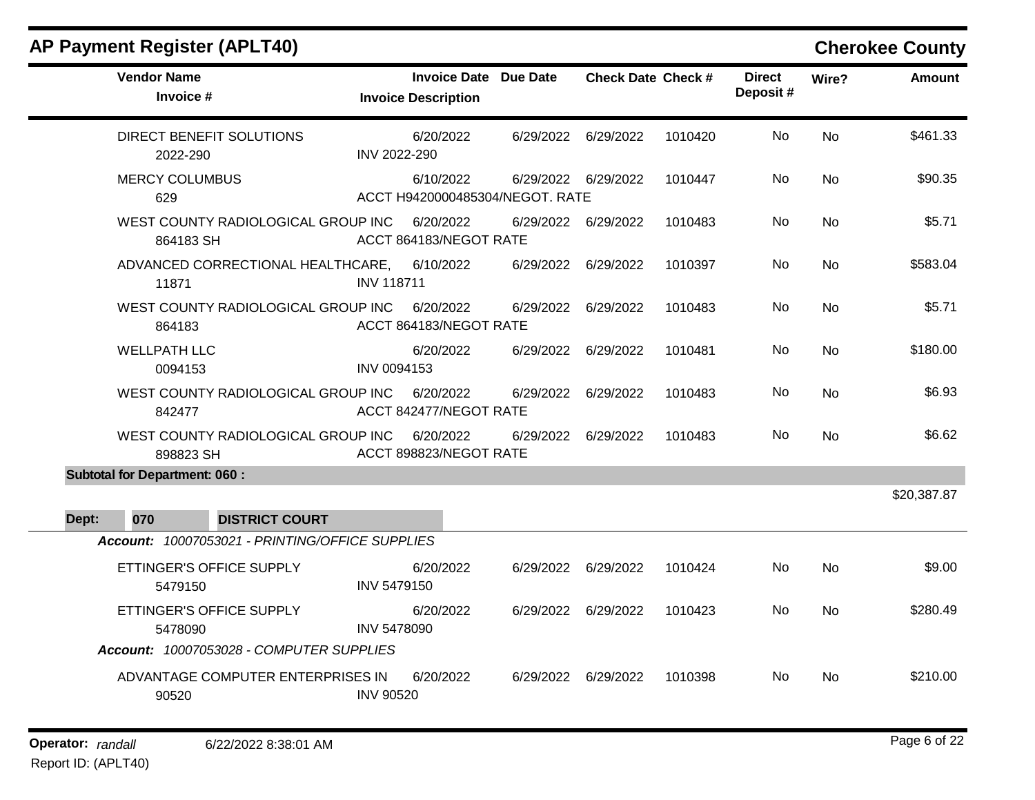|       | <b>Vendor Name</b><br>Invoice #                 | <b>Invoice Date Due Date</b><br><b>Invoice Description</b> |           | <b>Check Date Check #</b> |         | <b>Direct</b><br>Deposit# | Wire?     | <b>Amount</b> |
|-------|-------------------------------------------------|------------------------------------------------------------|-----------|---------------------------|---------|---------------------------|-----------|---------------|
|       | DIRECT BENEFIT SOLUTIONS<br>2022-290            | 6/20/2022<br>INV 2022-290                                  | 6/29/2022 | 6/29/2022                 | 1010420 | No                        | <b>No</b> | \$461.33      |
|       | <b>MERCY COLUMBUS</b><br>629                    | 6/10/2022<br>ACCT H9420000485304/NEGOT. RATE               |           | 6/29/2022 6/29/2022       | 1010447 | No.                       | No        | \$90.35       |
|       | WEST COUNTY RADIOLOGICAL GROUP INC<br>864183 SH | 6/20/2022<br>ACCT 864183/NEGOT RATE                        | 6/29/2022 | 6/29/2022                 | 1010483 | No                        | No        | \$5.71        |
|       | ADVANCED CORRECTIONAL HEALTHCARE,<br>11871      | 6/10/2022<br><b>INV 118711</b>                             | 6/29/2022 | 6/29/2022                 | 1010397 | No                        | No        | \$583.04      |
|       | WEST COUNTY RADIOLOGICAL GROUP INC<br>864183    | 6/20/2022<br>ACCT 864183/NEGOT RATE                        | 6/29/2022 | 6/29/2022                 | 1010483 | <b>No</b>                 | <b>No</b> | \$5.71        |
|       | <b>WELLPATH LLC</b><br>0094153                  | 6/20/2022<br>INV 0094153                                   | 6/29/2022 | 6/29/2022                 | 1010481 | No                        | No        | \$180.00      |
|       | WEST COUNTY RADIOLOGICAL GROUP INC<br>842477    | 6/20/2022<br>ACCT 842477/NEGOT RATE                        | 6/29/2022 | 6/29/2022                 | 1010483 | No                        | <b>No</b> | \$6.93        |
|       | WEST COUNTY RADIOLOGICAL GROUP INC<br>898823 SH | 6/20/2022<br>ACCT 898823/NEGOT RATE                        | 6/29/2022 | 6/29/2022                 | 1010483 | No.                       | No.       | \$6.62        |
|       | <b>Subtotal for Department: 060:</b>            |                                                            |           |                           |         |                           |           |               |
| Dept: | 070<br><b>DISTRICT COURT</b>                    |                                                            |           |                           |         |                           |           | \$20,387.87   |
|       | Account: 10007053021 - PRINTING/OFFICE SUPPLIES |                                                            |           |                           |         |                           |           |               |
|       | ETTINGER'S OFFICE SUPPLY<br>5479150             | 6/20/2022<br><b>INV 5479150</b>                            | 6/29/2022 | 6/29/2022                 | 1010424 | No                        | <b>No</b> | \$9.00        |
|       | ETTINGER'S OFFICE SUPPLY<br>5478090             | 6/20/2022<br><b>INV 5478090</b>                            |           | 6/29/2022 6/29/2022       | 1010423 | No                        | <b>No</b> | \$280.49      |
|       | Account: 10007053028 - COMPUTER SUPPLIES        |                                                            |           |                           |         |                           |           |               |
|       | ADVANTAGE COMPUTER ENTERPRISES IN<br>90520      | 6/20/2022<br><b>INV 90520</b>                              | 6/29/2022 | 6/29/2022                 | 1010398 | No.                       | <b>No</b> | \$210.00      |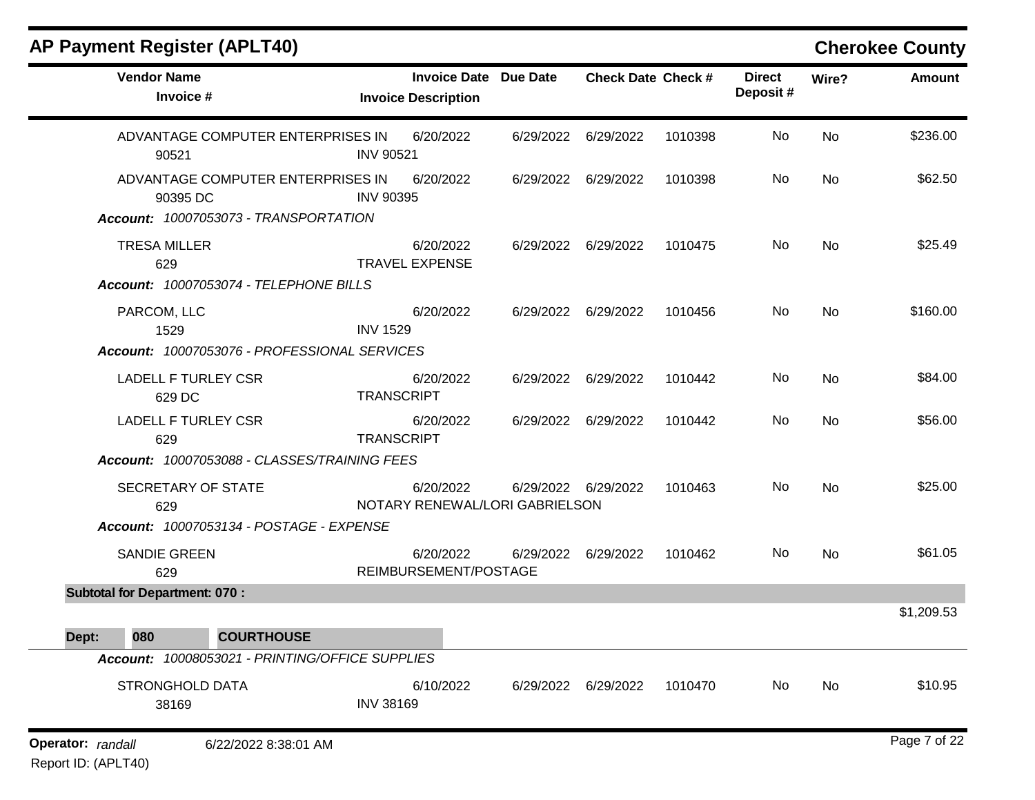| <b>AP Payment Register (APLT40)</b>                                                    |                   |                                                   |                 |                           |         |                           |       | <b>Cherokee County</b> |
|----------------------------------------------------------------------------------------|-------------------|---------------------------------------------------|-----------------|---------------------------|---------|---------------------------|-------|------------------------|
| <b>Vendor Name</b><br>Invoice #                                                        |                   | <b>Invoice Date</b><br><b>Invoice Description</b> | <b>Due Date</b> | <b>Check Date Check #</b> |         | <b>Direct</b><br>Deposit# | Wire? | <b>Amount</b>          |
| ADVANTAGE COMPUTER ENTERPRISES IN<br>90521                                             | <b>INV 90521</b>  | 6/20/2022                                         | 6/29/2022       | 6/29/2022                 | 1010398 | No                        | No    | \$236.00               |
| ADVANTAGE COMPUTER ENTERPRISES IN<br>90395 DC<br>Account: 10007053073 - TRANSPORTATION | <b>INV 90395</b>  | 6/20/2022                                         | 6/29/2022       | 6/29/2022                 | 1010398 | No                        | No    | \$62.50                |
| <b>TRESA MILLER</b><br>629<br>Account: 10007053074 - TELEPHONE BILLS                   |                   | 6/20/2022<br><b>TRAVEL EXPENSE</b>                | 6/29/2022       | 6/29/2022                 | 1010475 | No                        | No    | \$25.49                |
| PARCOM, LLC<br>1529<br>Account: 10007053076 - PROFESSIONAL SERVICES                    | <b>INV 1529</b>   | 6/20/2022                                         | 6/29/2022       | 6/29/2022                 | 1010456 | No                        | No    | \$160.00               |
| <b>LADELL F TURLEY CSR</b><br>629 DC                                                   | <b>TRANSCRIPT</b> | 6/20/2022                                         | 6/29/2022       | 6/29/2022                 | 1010442 | No                        | No    | \$84.00                |
| <b>LADELL F TURLEY CSR</b><br>629                                                      | <b>TRANSCRIPT</b> | 6/20/2022                                         | 6/29/2022       | 6/29/2022                 | 1010442 | No                        | No    | \$56.00                |
| Account: 10007053088 - CLASSES/TRAINING FEES                                           |                   |                                                   |                 |                           |         |                           |       |                        |
| SECRETARY OF STATE<br>629                                                              |                   | 6/20/2022<br>NOTARY RENEWAL/LORI GABRIELSON       | 6/29/2022       | 6/29/2022                 | 1010463 | No                        | No    | \$25.00                |
| Account: 10007053134 - POSTAGE - EXPENSE<br><b>SANDIE GREEN</b><br>629                 |                   | 6/20/2022<br>REIMBURSEMENT/POSTAGE                | 6/29/2022       | 6/29/2022                 | 1010462 | No                        | No    | \$61.05                |
| <b>Subtotal for Department: 070:</b>                                                   |                   |                                                   |                 |                           |         |                           |       | \$1,209.53             |
| 080<br><b>COURTHOUSE</b><br>Dept:                                                      |                   |                                                   |                 |                           |         |                           |       |                        |
| Account: 10008053021 - PRINTING/OFFICE SUPPLIES                                        |                   |                                                   |                 |                           |         |                           |       |                        |
| STRONGHOLD DATA<br>38169                                                               | <b>INV 38169</b>  | 6/10/2022                                         |                 | 6/29/2022 6/29/2022       | 1010470 | No                        | No    | \$10.95                |
| Operator: randall<br>6/22/2022 8:38:01 AM                                              |                   |                                                   |                 |                           |         |                           |       | Page 7 of 22           |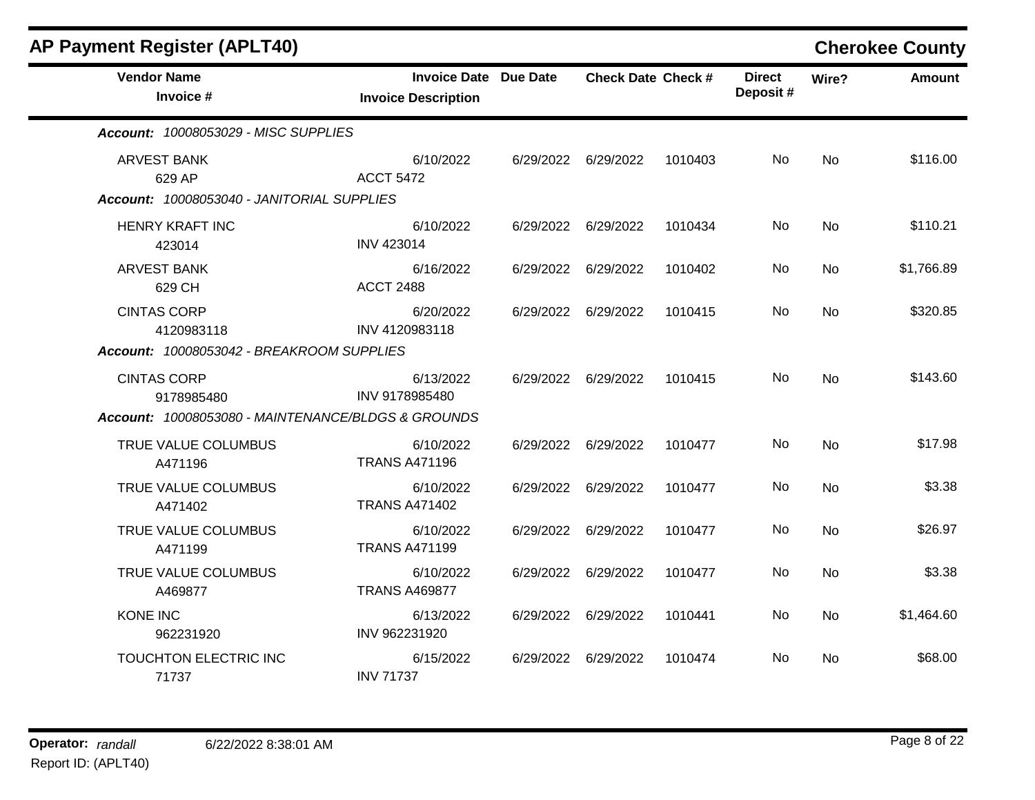| <b>AP Payment Register (APLT40)</b>                |                                                            |                           |         |                           |           | <b>Cherokee County</b> |
|----------------------------------------------------|------------------------------------------------------------|---------------------------|---------|---------------------------|-----------|------------------------|
| <b>Vendor Name</b><br>Invoice #                    | <b>Invoice Date Due Date</b><br><b>Invoice Description</b> | <b>Check Date Check #</b> |         | <b>Direct</b><br>Deposit# | Wire?     | <b>Amount</b>          |
| Account: 10008053029 - MISC SUPPLIES               |                                                            |                           |         |                           |           |                        |
| <b>ARVEST BANK</b><br>629 AP                       | 6/10/2022<br><b>ACCT 5472</b>                              | 6/29/2022 6/29/2022       | 1010403 | No.                       | <b>No</b> | \$116.00               |
| Account: 10008053040 - JANITORIAL SUPPLIES         |                                                            |                           |         |                           |           |                        |
| <b>HENRY KRAFT INC</b><br>423014                   | 6/10/2022<br><b>INV 423014</b>                             | 6/29/2022 6/29/2022       | 1010434 | No.                       | No        | \$110.21               |
| <b>ARVEST BANK</b><br>629 CH                       | 6/16/2022<br><b>ACCT 2488</b>                              | 6/29/2022 6/29/2022       | 1010402 | No.                       | <b>No</b> | \$1,766.89             |
| <b>CINTAS CORP</b><br>4120983118                   | 6/20/2022<br>INV 4120983118                                | 6/29/2022 6/29/2022       | 1010415 | No.                       | <b>No</b> | \$320.85               |
| Account: 10008053042 - BREAKROOM SUPPLIES          |                                                            |                           |         |                           |           |                        |
| <b>CINTAS CORP</b><br>9178985480                   | 6/13/2022<br>INV 9178985480                                | 6/29/2022 6/29/2022       | 1010415 | No.                       | <b>No</b> | \$143.60               |
| Account: 10008053080 - MAINTENANCE/BLDGS & GROUNDS |                                                            |                           |         |                           |           |                        |
| TRUE VALUE COLUMBUS<br>A471196                     | 6/10/2022<br><b>TRANS A471196</b>                          | 6/29/2022 6/29/2022       | 1010477 | No                        | <b>No</b> | \$17.98                |
| TRUE VALUE COLUMBUS<br>A471402                     | 6/10/2022<br><b>TRANS A471402</b>                          | 6/29/2022 6/29/2022       | 1010477 | No.                       | No        | \$3.38                 |
| TRUE VALUE COLUMBUS<br>A471199                     | 6/10/2022<br><b>TRANS A471199</b>                          | 6/29/2022 6/29/2022       | 1010477 | <b>No</b>                 | <b>No</b> | \$26.97                |
| TRUE VALUE COLUMBUS<br>A469877                     | 6/10/2022<br><b>TRANS A469877</b>                          | 6/29/2022 6/29/2022       | 1010477 | No                        | No        | \$3.38                 |
| <b>KONE INC</b><br>962231920                       | 6/13/2022<br>INV 962231920                                 | 6/29/2022 6/29/2022       | 1010441 | No                        | <b>No</b> | \$1,464.60             |
| TOUCHTON ELECTRIC INC<br>71737                     | 6/15/2022<br><b>INV 71737</b>                              | 6/29/2022 6/29/2022       | 1010474 | No.                       | No.       | \$68.00                |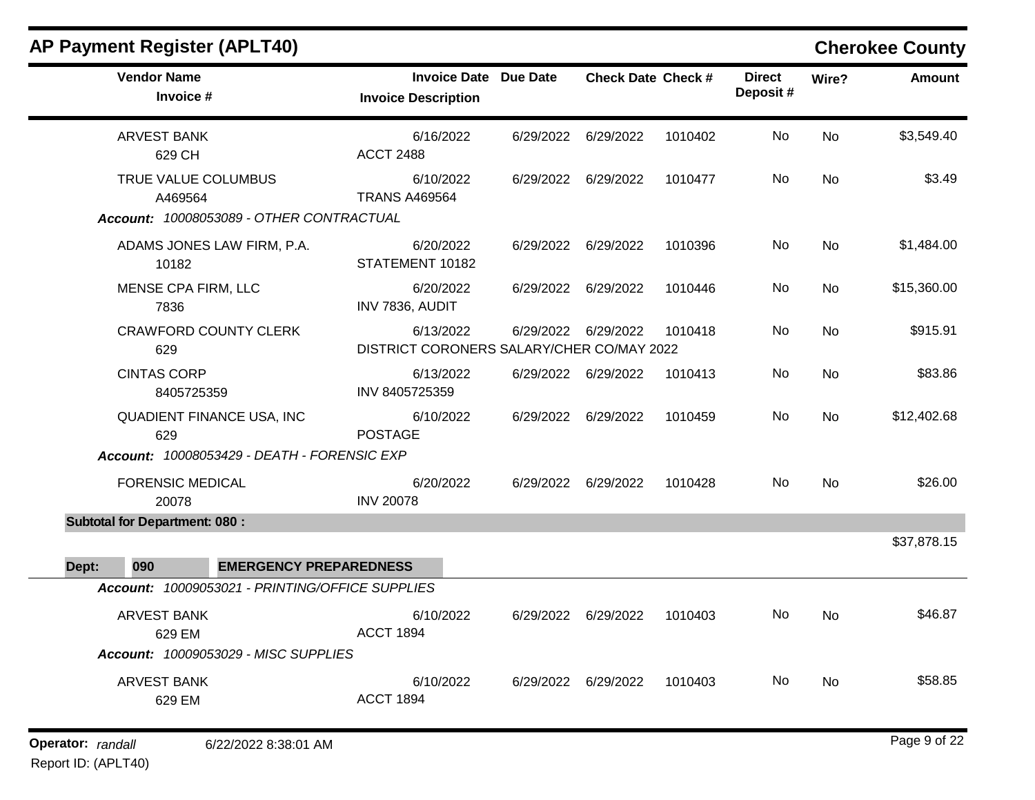|       | <b>AP Payment Register (APLT40)</b>                                         |                               |                                                            |           |                           |         |                           |           | <b>Cherokee County</b> |
|-------|-----------------------------------------------------------------------------|-------------------------------|------------------------------------------------------------|-----------|---------------------------|---------|---------------------------|-----------|------------------------|
|       | <b>Vendor Name</b><br>Invoice #                                             |                               | <b>Invoice Date Due Date</b><br><b>Invoice Description</b> |           | <b>Check Date Check #</b> |         | <b>Direct</b><br>Deposit# | Wire?     | <b>Amount</b>          |
|       | <b>ARVEST BANK</b><br>629 CH                                                |                               | 6/16/2022<br><b>ACCT 2488</b>                              | 6/29/2022 | 6/29/2022                 | 1010402 | No                        | No        | \$3,549.40             |
|       | TRUE VALUE COLUMBUS<br>A469564<br>Account: 10008053089 - OTHER CONTRACTUAL  |                               | 6/10/2022<br><b>TRANS A469564</b>                          | 6/29/2022 | 6/29/2022                 | 1010477 | No                        | <b>No</b> | \$3.49                 |
|       | ADAMS JONES LAW FIRM, P.A.<br>10182                                         |                               | 6/20/2022<br>STATEMENT 10182                               | 6/29/2022 | 6/29/2022                 | 1010396 | No                        | No        | \$1,484.00             |
|       | MENSE CPA FIRM, LLC<br>7836                                                 |                               | 6/20/2022<br>INV 7836, AUDIT                               |           | 6/29/2022 6/29/2022       | 1010446 | No                        | No        | \$15,360.00            |
|       | <b>CRAWFORD COUNTY CLERK</b><br>629                                         |                               | 6/13/2022<br>DISTRICT CORONERS SALARY/CHER CO/MAY 2022     | 6/29/2022 | 6/29/2022                 | 1010418 | No                        | No        | \$915.91               |
|       | <b>CINTAS CORP</b><br>8405725359                                            |                               | 6/13/2022<br>INV 8405725359                                |           | 6/29/2022 6/29/2022       | 1010413 | No                        | No        | \$83.86                |
|       | QUADIENT FINANCE USA, INC<br>629                                            |                               | 6/10/2022<br><b>POSTAGE</b>                                | 6/29/2022 | 6/29/2022                 | 1010459 | No                        | <b>No</b> | \$12,402.68            |
|       | Account: 10008053429 - DEATH - FORENSIC EXP                                 |                               |                                                            |           |                           |         |                           |           |                        |
|       | <b>FORENSIC MEDICAL</b><br>20078                                            |                               | 6/20/2022<br><b>INV 20078</b>                              | 6/29/2022 | 6/29/2022                 | 1010428 | No                        | No        | \$26.00                |
|       | <b>Subtotal for Department: 080:</b>                                        |                               |                                                            |           |                           |         |                           |           |                        |
| Dept: | 090                                                                         | <b>EMERGENCY PREPAREDNESS</b> |                                                            |           |                           |         |                           |           | \$37,878.15            |
|       | Account: 10009053021 - PRINTING/OFFICE SUPPLIES                             |                               |                                                            |           |                           |         |                           |           |                        |
|       | <b>ARVEST BANK</b><br>629 EM<br><b>Account: 10009053029 - MISC SUPPLIES</b> |                               | 6/10/2022<br><b>ACCT 1894</b>                              | 6/29/2022 | 6/29/2022                 | 1010403 | No                        | No        | \$46.87                |
|       | <b>ARVEST BANK</b><br>629 EM                                                |                               | 6/10/2022<br><b>ACCT 1894</b>                              |           | 6/29/2022 6/29/2022       | 1010403 | No.                       | No        | \$58.85                |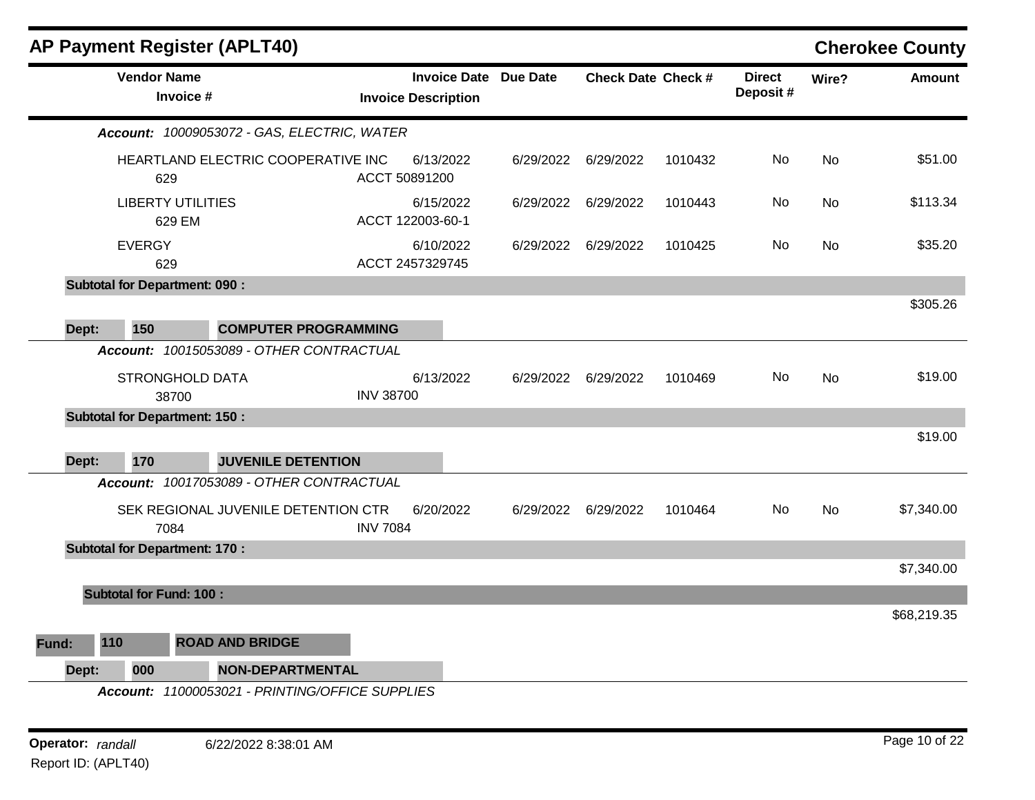|       |                                      | <b>AP Payment Register (APLT40)</b>                                     |                  |                                                            |           |                           |         |                           |           | <b>Cherokee County</b> |
|-------|--------------------------------------|-------------------------------------------------------------------------|------------------|------------------------------------------------------------|-----------|---------------------------|---------|---------------------------|-----------|------------------------|
|       | <b>Vendor Name</b><br>Invoice #      |                                                                         |                  | <b>Invoice Date Due Date</b><br><b>Invoice Description</b> |           | <b>Check Date Check #</b> |         | <b>Direct</b><br>Deposit# | Wire?     | <b>Amount</b>          |
|       |                                      | Account: 10009053072 - GAS, ELECTRIC, WATER                             |                  |                                                            |           |                           |         |                           |           |                        |
|       | 629                                  | HEARTLAND ELECTRIC COOPERATIVE INC                                      | ACCT 50891200    | 6/13/2022                                                  | 6/29/2022 | 6/29/2022                 | 1010432 | No                        | <b>No</b> | \$51.00                |
|       | <b>LIBERTY UTILITIES</b><br>629 EM   |                                                                         |                  | 6/15/2022<br>ACCT 122003-60-1                              | 6/29/2022 | 6/29/2022                 | 1010443 | No                        | No        | \$113.34               |
|       | <b>EVERGY</b><br>629                 |                                                                         |                  | 6/10/2022<br>ACCT 2457329745                               | 6/29/2022 | 6/29/2022                 | 1010425 | No                        | <b>No</b> | \$35.20                |
|       | <b>Subtotal for Department: 090:</b> |                                                                         |                  |                                                            |           |                           |         |                           |           |                        |
|       |                                      |                                                                         |                  |                                                            |           |                           |         |                           |           | \$305.26               |
| Dept: | 150                                  | <b>COMPUTER PROGRAMMING</b><br>Account: 10015053089 - OTHER CONTRACTUAL |                  |                                                            |           |                           |         |                           |           |                        |
|       | STRONGHOLD DATA<br>38700             |                                                                         | <b>INV 38700</b> | 6/13/2022                                                  | 6/29/2022 | 6/29/2022                 | 1010469 | No.                       | <b>No</b> | \$19.00                |
|       | <b>Subtotal for Department: 150:</b> |                                                                         |                  |                                                            |           |                           |         |                           |           |                        |
| Dept: | 170                                  | <b>JUVENILE DETENTION</b>                                               |                  |                                                            |           |                           |         |                           |           | \$19.00                |
|       |                                      | Account: 10017053089 - OTHER CONTRACTUAL                                |                  |                                                            |           |                           |         |                           |           |                        |
|       | 7084                                 | SEK REGIONAL JUVENILE DETENTION CTR                                     | <b>INV 7084</b>  | 6/20/2022                                                  | 6/29/2022 | 6/29/2022                 | 1010464 | No                        | <b>No</b> | \$7,340.00             |
|       | <b>Subtotal for Department: 170:</b> |                                                                         |                  |                                                            |           |                           |         |                           |           |                        |
|       |                                      |                                                                         |                  |                                                            |           |                           |         |                           |           | \$7,340.00             |
|       | <b>Subtotal for Fund: 100:</b>       |                                                                         |                  |                                                            |           |                           |         |                           |           |                        |
|       |                                      |                                                                         |                  |                                                            |           |                           |         |                           |           | \$68,219.35            |
| Fund: | 110                                  | <b>ROAD AND BRIDGE</b>                                                  |                  |                                                            |           |                           |         |                           |           |                        |
| Dept: | 000                                  | <b>NON-DEPARTMENTAL</b>                                                 |                  |                                                            |           |                           |         |                           |           |                        |
|       |                                      | Account: 11000053021 - PRINTING/OFFICE SUPPLIES                         |                  |                                                            |           |                           |         |                           |           |                        |

**Operator:** randall 6/22/2022 8:38:01 AM *Page 10 of 22* Report ID: (APLT40)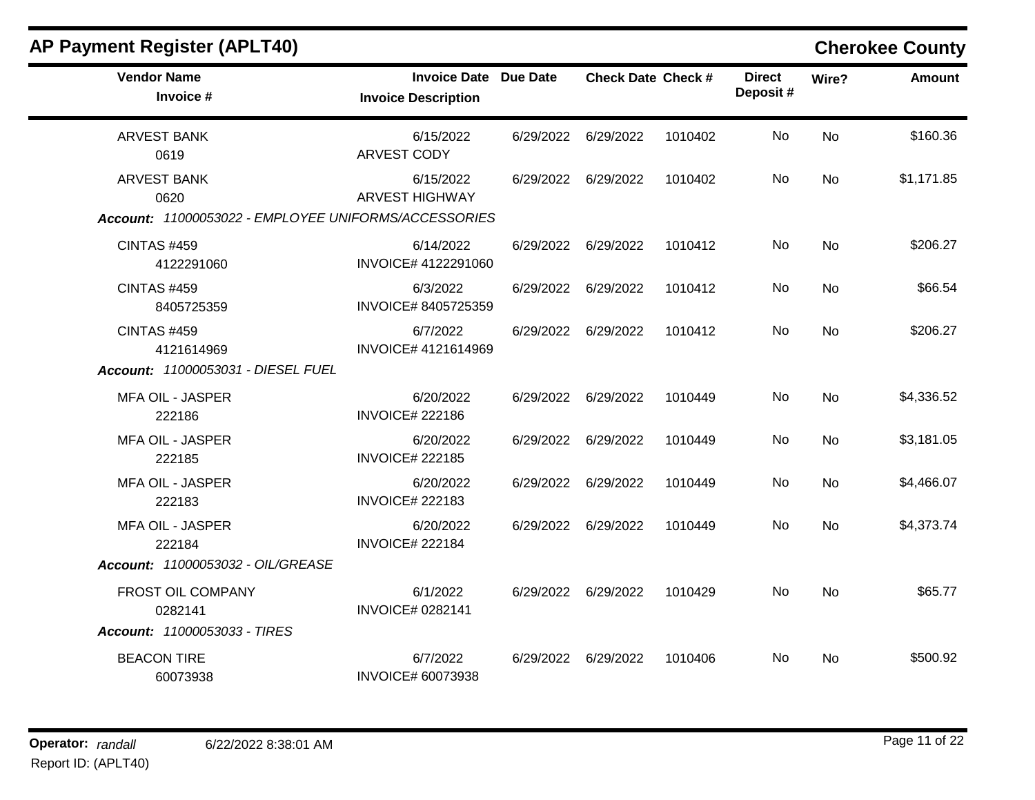| <b>Vendor Name</b><br>Invoice #                                                    | <b>Invoice Date Due Date</b><br><b>Invoice Description</b> | <b>Check Date Check #</b> |         | <b>Direct</b><br>Deposit# | Wire?     | <b>Amount</b> |
|------------------------------------------------------------------------------------|------------------------------------------------------------|---------------------------|---------|---------------------------|-----------|---------------|
| <b>ARVEST BANK</b><br>0619                                                         | 6/15/2022<br>ARVEST CODY                                   | 6/29/2022 6/29/2022       | 1010402 | No.                       | <b>No</b> | \$160.36      |
| <b>ARVEST BANK</b><br>0620<br>Account: 11000053022 - EMPLOYEE UNIFORMS/ACCESSORIES | 6/15/2022<br><b>ARVEST HIGHWAY</b>                         | 6/29/2022 6/29/2022       | 1010402 | No                        | <b>No</b> | \$1,171.85    |
| <b>CINTAS #459</b><br>4122291060                                                   | 6/14/2022<br>INVOICE# 4122291060                           | 6/29/2022 6/29/2022       | 1010412 | No                        | <b>No</b> | \$206.27      |
| <b>CINTAS #459</b><br>8405725359                                                   | 6/3/2022<br>INVOICE# 8405725359                            | 6/29/2022 6/29/2022       | 1010412 | No                        | No        | \$66.54       |
| CINTAS #459<br>4121614969<br>Account: 11000053031 - DIESEL FUEL                    | 6/7/2022<br>INVOICE# 4121614969                            | 6/29/2022 6/29/2022       | 1010412 | No                        | <b>No</b> | \$206.27      |
| <b>MFA OIL - JASPER</b><br>222186                                                  | 6/20/2022<br><b>INVOICE# 222186</b>                        | 6/29/2022 6/29/2022       | 1010449 | No                        | <b>No</b> | \$4,336.52    |
| <b>MFA OIL - JASPER</b><br>222185                                                  | 6/20/2022<br><b>INVOICE# 222185</b>                        | 6/29/2022 6/29/2022       | 1010449 | No                        | No        | \$3,181.05    |
| <b>MFA OIL - JASPER</b><br>222183                                                  | 6/20/2022<br><b>INVOICE# 222183</b>                        | 6/29/2022 6/29/2022       | 1010449 | No                        | <b>No</b> | \$4,466.07    |
| <b>MFA OIL - JASPER</b><br>222184                                                  | 6/20/2022<br><b>INVOICE# 222184</b>                        | 6/29/2022 6/29/2022       | 1010449 | No                        | <b>No</b> | \$4,373.74    |
| Account: 11000053032 - OIL/GREASE                                                  |                                                            |                           |         |                           |           |               |
| FROST OIL COMPANY<br>0282141<br>Account: 11000053033 - TIRES                       | 6/1/2022<br><b>INVOICE# 0282141</b>                        | 6/29/2022 6/29/2022       | 1010429 | No                        | <b>No</b> | \$65.77       |
| <b>BEACON TIRE</b><br>60073938                                                     | 6/7/2022<br><b>INVOICE# 60073938</b>                       | 6/29/2022 6/29/2022       | 1010406 | No                        | No        | \$500.92      |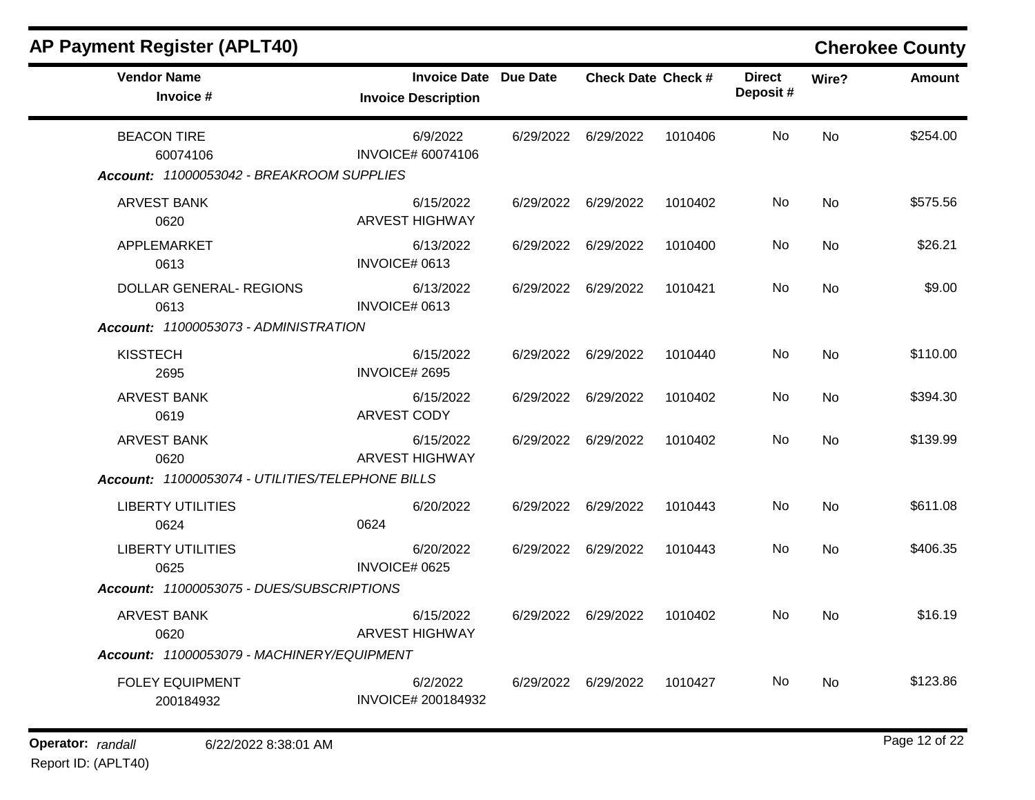| <b>AP Payment Register (APLT40)</b>                                         |                                                   |                 |                           |         |                           |       | <b>Cherokee County</b> |
|-----------------------------------------------------------------------------|---------------------------------------------------|-----------------|---------------------------|---------|---------------------------|-------|------------------------|
| <b>Vendor Name</b><br>Invoice #                                             | <b>Invoice Date</b><br><b>Invoice Description</b> | <b>Due Date</b> | <b>Check Date Check #</b> |         | <b>Direct</b><br>Deposit# | Wire? | <b>Amount</b>          |
| <b>BEACON TIRE</b><br>60074106<br>Account: 11000053042 - BREAKROOM SUPPLIES | 6/9/2022<br><b>INVOICE# 60074106</b>              | 6/29/2022       | 6/29/2022                 | 1010406 | No                        | No    | \$254.00               |
| <b>ARVEST BANK</b><br>0620                                                  | 6/15/2022<br><b>ARVEST HIGHWAY</b>                | 6/29/2022       | 6/29/2022                 | 1010402 | No                        | No    | \$575.56               |
| APPLEMARKET<br>0613                                                         | 6/13/2022<br>INVOICE# 0613                        | 6/29/2022       | 6/29/2022                 | 1010400 | No                        | No    | \$26.21                |
| DOLLAR GENERAL- REGIONS<br>0613                                             | 6/13/2022<br>INVOICE# 0613                        | 6/29/2022       | 6/29/2022                 | 1010421 | No                        | No    | \$9.00                 |
| Account: 11000053073 - ADMINISTRATION                                       |                                                   |                 |                           |         |                           |       |                        |
| <b>KISSTECH</b><br>2695                                                     | 6/15/2022<br>INVOICE# 2695                        | 6/29/2022       | 6/29/2022                 | 1010440 | No                        | No    | \$110.00               |
| <b>ARVEST BANK</b><br>0619                                                  | 6/15/2022<br>ARVEST CODY                          | 6/29/2022       | 6/29/2022                 | 1010402 | No                        | No    | \$394.30               |
| <b>ARVEST BANK</b><br>0620                                                  | 6/15/2022<br><b>ARVEST HIGHWAY</b>                | 6/29/2022       | 6/29/2022                 | 1010402 | No                        | No    | \$139.99               |
| Account: 11000053074 - UTILITIES/TELEPHONE BILLS                            |                                                   |                 |                           |         |                           |       |                        |
| <b>LIBERTY UTILITIES</b><br>0624                                            | 6/20/2022<br>0624                                 | 6/29/2022       | 6/29/2022                 | 1010443 | No                        | No    | \$611.08               |
| <b>LIBERTY UTILITIES</b><br>0625                                            | 6/20/2022<br>INVOICE# 0625                        | 6/29/2022       | 6/29/2022                 | 1010443 | No                        | No    | \$406.35               |
| Account: 11000053075 - DUES/SUBSCRIPTIONS                                   |                                                   |                 |                           |         |                           |       |                        |
| ARVEST BANK<br>0620                                                         | 6/15/2022<br><b>ARVEST HIGHWAY</b>                | 6/29/2022       | 6/29/2022                 | 1010402 | No                        | No    | \$16.19                |
| Account: 11000053079 - MACHINERY/EQUIPMENT                                  |                                                   |                 |                           |         |                           |       |                        |
| <b>FOLEY EQUIPMENT</b><br>200184932                                         | 6/2/2022<br>INVOICE# 200184932                    |                 | 6/29/2022 6/29/2022       | 1010427 | No                        | No    | \$123.86               |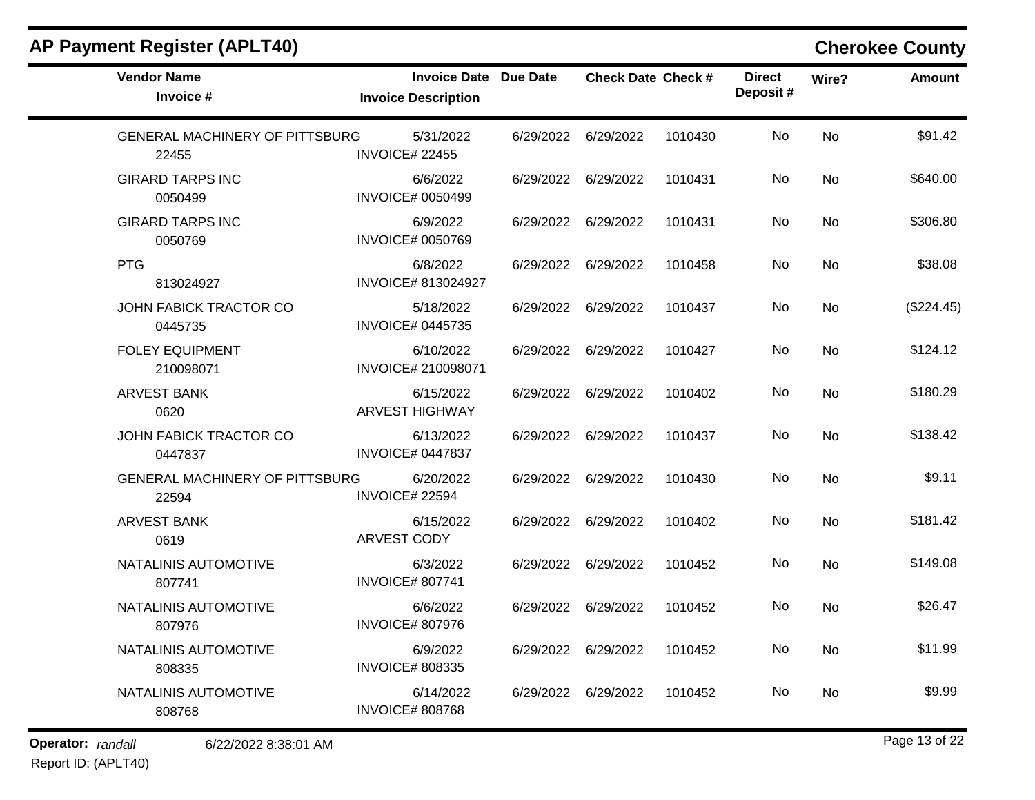| <b>Vendor Name</b><br>Invoice #                | Invoice Date Due Date<br><b>Invoice Description</b> |           | <b>Check Date Check #</b> |         | <b>Direct</b><br>Deposit# | Wire?     | <b>Amount</b> |
|------------------------------------------------|-----------------------------------------------------|-----------|---------------------------|---------|---------------------------|-----------|---------------|
| <b>GENERAL MACHINERY OF PITTSBURG</b><br>22455 | 5/31/2022<br><b>INVOICE# 22455</b>                  |           | 6/29/2022 6/29/2022       | 1010430 | No                        | <b>No</b> | \$91.42       |
| <b>GIRARD TARPS INC</b><br>0050499             | 6/6/2022<br><b>INVOICE# 0050499</b>                 |           | 6/29/2022 6/29/2022       | 1010431 | No                        | No        | \$640.00      |
| <b>GIRARD TARPS INC</b><br>0050769             | 6/9/2022<br><b>INVOICE# 0050769</b>                 |           | 6/29/2022 6/29/2022       | 1010431 | No                        | <b>No</b> | \$306.80      |
| <b>PTG</b><br>813024927                        | 6/8/2022<br><b>INVOICE# 813024927</b>               |           | 6/29/2022 6/29/2022       | 1010458 | No                        | No        | \$38.08       |
| JOHN FABICK TRACTOR CO<br>0445735              | 5/18/2022<br><b>INVOICE# 0445735</b>                |           | 6/29/2022 6/29/2022       | 1010437 | No                        | <b>No</b> | (\$224.45)    |
| <b>FOLEY EQUIPMENT</b><br>210098071            | 6/10/2022<br>INVOICE# 210098071                     |           | 6/29/2022 6/29/2022       | 1010427 | No                        | No        | \$124.12      |
| <b>ARVEST BANK</b><br>0620                     | 6/15/2022<br><b>ARVEST HIGHWAY</b>                  |           | 6/29/2022 6/29/2022       | 1010402 | No.                       | No        | \$180.29      |
| JOHN FABICK TRACTOR CO<br>0447837              | 6/13/2022<br><b>INVOICE# 0447837</b>                |           | 6/29/2022 6/29/2022       | 1010437 | No                        | <b>No</b> | \$138.42      |
| <b>GENERAL MACHINERY OF PITTSBURG</b><br>22594 | 6/20/2022<br><b>INVOICE# 22594</b>                  |           | 6/29/2022 6/29/2022       | 1010430 | No                        | <b>No</b> | \$9.11        |
| <b>ARVEST BANK</b><br>0619                     | 6/15/2022<br>ARVEST CODY                            |           | 6/29/2022 6/29/2022       | 1010402 | No                        | No        | \$181.42      |
| NATALINIS AUTOMOTIVE<br>807741                 | 6/3/2022<br><b>INVOICE# 807741</b>                  | 6/29/2022 | 6/29/2022                 | 1010452 | No                        | <b>No</b> | \$149.08      |
| NATALINIS AUTOMOTIVE<br>807976                 | 6/6/2022<br><b>INVOICE# 807976</b>                  |           | 6/29/2022 6/29/2022       | 1010452 | No                        | No        | \$26.47       |
| NATALINIS AUTOMOTIVE<br>808335                 | 6/9/2022<br><b>INVOICE# 808335</b>                  |           | 6/29/2022 6/29/2022       | 1010452 | No                        | <b>No</b> | \$11.99       |
| NATALINIS AUTOMOTIVE<br>808768                 | 6/14/2022<br><b>INVOICE# 808768</b>                 |           | 6/29/2022 6/29/2022       | 1010452 | No.                       | No        | \$9.99        |

**Operator:** randall 6/22/2022 8:38:01 AM **Page 13 of 22** 

### Report ID: (APLT40)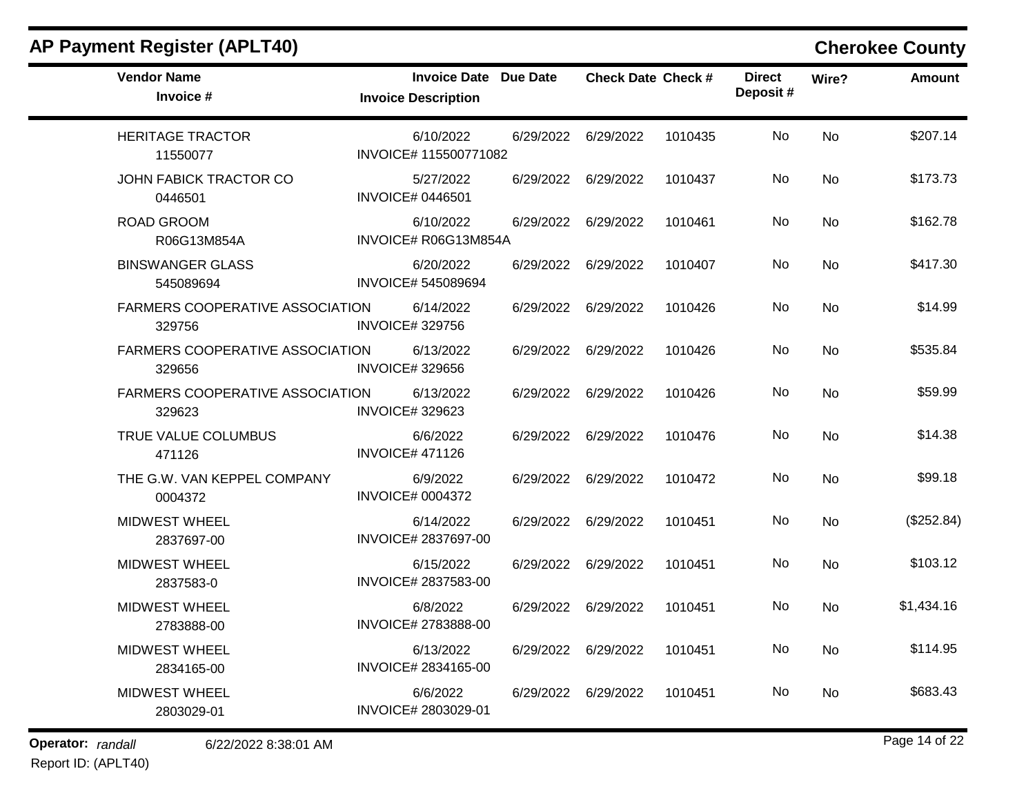| <b>Vendor Name</b><br>Invoice #                  | Invoice Date Due Date<br><b>Invoice Description</b> |                     | <b>Check Date Check #</b> |         | <b>Direct</b><br>Deposit# | Wire?     | <b>Amount</b> |
|--------------------------------------------------|-----------------------------------------------------|---------------------|---------------------------|---------|---------------------------|-----------|---------------|
| <b>HERITAGE TRACTOR</b><br>11550077              | 6/10/2022<br>INVOICE# 115500771082                  |                     | 6/29/2022 6/29/2022       | 1010435 | No                        | <b>No</b> | \$207.14      |
| JOHN FABICK TRACTOR CO<br>0446501                | 5/27/2022<br><b>INVOICE# 0446501</b>                | 6/29/2022 6/29/2022 |                           | 1010437 | No.                       | <b>No</b> | \$173.73      |
| <b>ROAD GROOM</b><br>R06G13M854A                 | 6/10/2022<br>INVOICE# R06G13M854A                   | 6/29/2022 6/29/2022 |                           | 1010461 | No                        | No        | \$162.78      |
| <b>BINSWANGER GLASS</b><br>545089694             | 6/20/2022<br><b>INVOICE# 545089694</b>              | 6/29/2022 6/29/2022 |                           | 1010407 | No.                       | No        | \$417.30      |
| FARMERS COOPERATIVE ASSOCIATION<br>329756        | 6/14/2022<br><b>INVOICE#329756</b>                  | 6/29/2022 6/29/2022 |                           | 1010426 | No                        | No        | \$14.99       |
| <b>FARMERS COOPERATIVE ASSOCIATION</b><br>329656 | 6/13/2022<br><b>INVOICE#329656</b>                  |                     | 6/29/2022 6/29/2022       | 1010426 | No                        | <b>No</b> | \$535.84      |
| <b>FARMERS COOPERATIVE ASSOCIATION</b><br>329623 | 6/13/2022<br><b>INVOICE#329623</b>                  | 6/29/2022 6/29/2022 |                           | 1010426 | No                        | No.       | \$59.99       |
| TRUE VALUE COLUMBUS<br>471126                    | 6/6/2022<br><b>INVOICE# 471126</b>                  |                     | 6/29/2022 6/29/2022       | 1010476 | No                        | <b>No</b> | \$14.38       |
| THE G.W. VAN KEPPEL COMPANY<br>0004372           | 6/9/2022<br><b>INVOICE# 0004372</b>                 |                     | 6/29/2022 6/29/2022       | 1010472 | No.                       | <b>No</b> | \$99.18       |
| <b>MIDWEST WHEEL</b><br>2837697-00               | 6/14/2022<br>INVOICE# 2837697-00                    | 6/29/2022 6/29/2022 |                           | 1010451 | No                        | No        | (\$252.84)    |
| <b>MIDWEST WHEEL</b><br>2837583-0                | 6/15/2022<br>INVOICE# 2837583-00                    | 6/29/2022 6/29/2022 |                           | 1010451 | No                        | <b>No</b> | \$103.12      |
| <b>MIDWEST WHEEL</b><br>2783888-00               | 6/8/2022<br>INVOICE# 2783888-00                     |                     | 6/29/2022 6/29/2022       | 1010451 | No                        | No        | \$1,434.16    |
| <b>MIDWEST WHEEL</b><br>2834165-00               | 6/13/2022<br>INVOICE# 2834165-00                    | 6/29/2022 6/29/2022 |                           | 1010451 | No.                       | No        | \$114.95      |
| <b>MIDWEST WHEEL</b><br>2803029-01               | 6/6/2022<br>INVOICE# 2803029-01                     | 6/29/2022 6/29/2022 |                           | 1010451 | No.                       | No        | \$683.43      |

# **Operator:** randall 6/22/2022 8:38:01 AM **Page 14 of 22**

Report ID: (APLT40)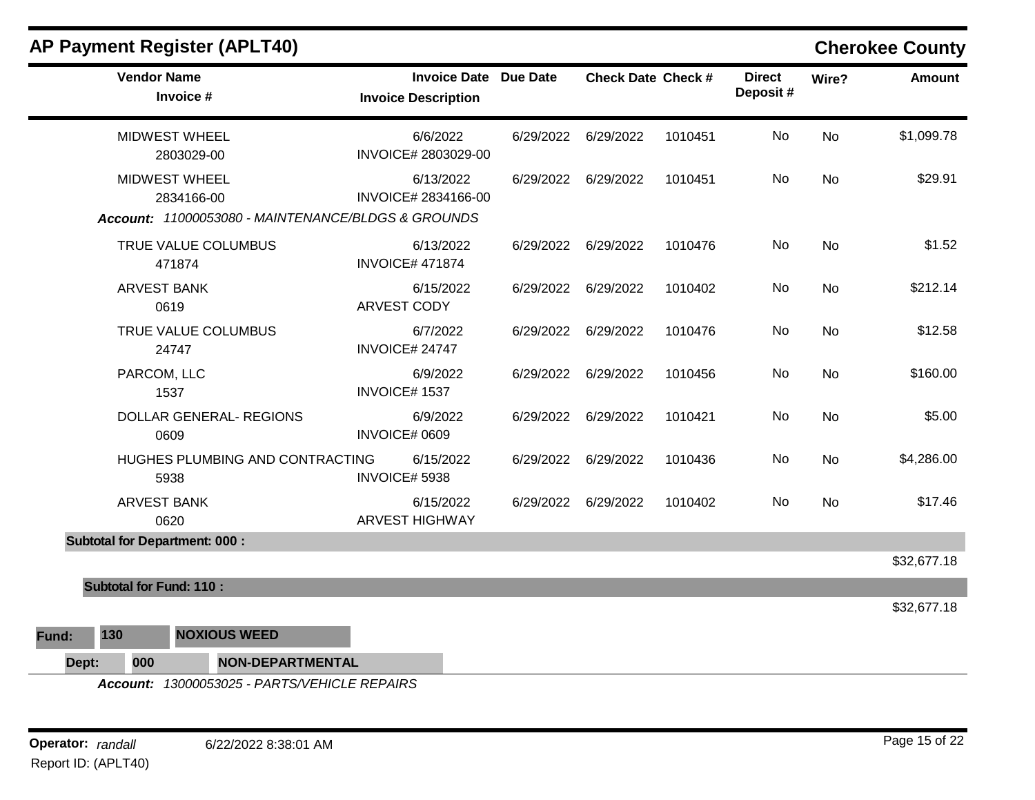| <b>AP Payment Register (APLT40)</b>                                                      |                                                            |           |                           |         |                           |           | <b>Cherokee County</b> |
|------------------------------------------------------------------------------------------|------------------------------------------------------------|-----------|---------------------------|---------|---------------------------|-----------|------------------------|
| <b>Vendor Name</b><br>Invoice #                                                          | <b>Invoice Date Due Date</b><br><b>Invoice Description</b> |           | <b>Check Date Check #</b> |         | <b>Direct</b><br>Deposit# | Wire?     | Amount                 |
| <b>MIDWEST WHEEL</b><br>2803029-00                                                       | 6/6/2022<br>INVOICE# 2803029-00                            |           | 6/29/2022 6/29/2022       | 1010451 | No                        | No        | \$1,099.78             |
| <b>MIDWEST WHEEL</b><br>2834166-00<br>Account: 11000053080 - MAINTENANCE/BLDGS & GROUNDS | 6/13/2022<br>INVOICE# 2834166-00                           | 6/29/2022 | 6/29/2022                 | 1010451 | No                        | <b>No</b> | \$29.91                |
| TRUE VALUE COLUMBUS<br>471874                                                            | 6/13/2022<br><b>INVOICE# 471874</b>                        |           | 6/29/2022 6/29/2022       | 1010476 | No                        | No        | \$1.52                 |
| <b>ARVEST BANK</b><br>0619                                                               | 6/15/2022<br><b>ARVEST CODY</b>                            |           | 6/29/2022 6/29/2022       | 1010402 | No                        | <b>No</b> | \$212.14               |
| TRUE VALUE COLUMBUS<br>24747                                                             | 6/7/2022<br>INVOICE# 24747                                 |           | 6/29/2022 6/29/2022       | 1010476 | No.                       | No        | \$12.58                |
| PARCOM, LLC<br>1537                                                                      | 6/9/2022<br><b>INVOICE#1537</b>                            | 6/29/2022 | 6/29/2022                 | 1010456 | No                        | No        | \$160.00               |
| <b>DOLLAR GENERAL- REGIONS</b><br>0609                                                   | 6/9/2022<br>INVOICE# 0609                                  |           | 6/29/2022 6/29/2022       | 1010421 | No                        | <b>No</b> | \$5.00                 |
| HUGHES PLUMBING AND CONTRACTING<br>5938                                                  | 6/15/2022<br>INVOICE# 5938                                 |           | 6/29/2022 6/29/2022       | 1010436 | No                        | No        | \$4,286.00             |
| <b>ARVEST BANK</b><br>0620                                                               | 6/15/2022<br><b>ARVEST HIGHWAY</b>                         |           | 6/29/2022 6/29/2022       | 1010402 | No                        | No        | \$17.46                |
| <b>Subtotal for Department: 000:</b>                                                     |                                                            |           |                           |         |                           |           |                        |
| <b>Subtotal for Fund: 110:</b>                                                           |                                                            |           |                           |         |                           |           | \$32,677.18            |
|                                                                                          |                                                            |           |                           |         |                           |           | \$32,677.18            |
| 130<br><b>NOXIOUS WEED</b><br>Fund:                                                      |                                                            |           |                           |         |                           |           |                        |
| Dept:<br>000<br><b>NON-DEPARTMENTAL</b>                                                  |                                                            |           |                           |         |                           |           |                        |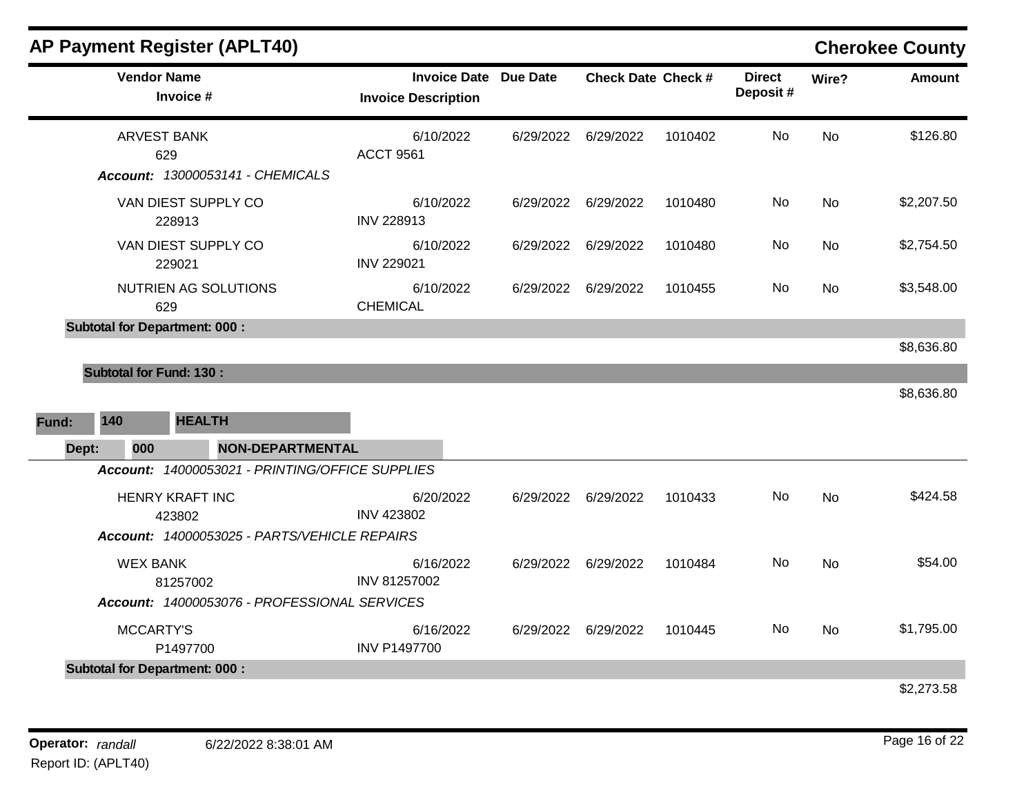|       | <b>Vendor Name</b>             | Invoice #                                       | <b>Invoice Date Due Date</b><br><b>Invoice Description</b> | <b>Check Date Check #</b> |         | <b>Direct</b><br>Deposit# | Wire?     | <b>Amount</b> |
|-------|--------------------------------|-------------------------------------------------|------------------------------------------------------------|---------------------------|---------|---------------------------|-----------|---------------|
|       | <b>ARVEST BANK</b><br>629      |                                                 | 6/10/2022<br><b>ACCT 9561</b>                              | 6/29/2022 6/29/2022       | 1010402 | No                        | <b>No</b> | \$126.80      |
|       |                                | Account: 13000053141 - CHEMICALS                |                                                            |                           |         |                           |           |               |
|       |                                | VAN DIEST SUPPLY CO<br>228913                   | 6/10/2022<br><b>INV 228913</b>                             | 6/29/2022 6/29/2022       | 1010480 | No                        | No        | \$2,207.50    |
|       |                                | VAN DIEST SUPPLY CO<br>229021                   | 6/10/2022<br><b>INV 229021</b>                             | 6/29/2022 6/29/2022       | 1010480 | No                        | No        | \$2,754.50    |
|       | 629                            | NUTRIEN AG SOLUTIONS                            | 6/10/2022<br><b>CHEMICAL</b>                               | 6/29/2022 6/29/2022       | 1010455 | No                        | <b>No</b> | \$3,548.00    |
|       |                                | <b>Subtotal for Department: 000:</b>            |                                                            |                           |         |                           |           |               |
|       |                                |                                                 |                                                            |                           |         |                           |           | \$8,636.80    |
|       | <b>Subtotal for Fund: 130:</b> |                                                 |                                                            |                           |         |                           |           | \$8,636.80    |
| Fund: | 140                            | <b>HEALTH</b>                                   |                                                            |                           |         |                           |           |               |
| Dept: | 000                            | <b>NON-DEPARTMENTAL</b>                         |                                                            |                           |         |                           |           |               |
|       |                                | Account: 14000053021 - PRINTING/OFFICE SUPPLIES |                                                            |                           |         |                           |           |               |
|       |                                | <b>HENRY KRAFT INC</b><br>423802                | 6/20/2022<br><b>INV 423802</b>                             | 6/29/2022 6/29/2022       | 1010433 | No                        | <b>No</b> | \$424.58      |
|       |                                | Account: 14000053025 - PARTS/VEHICLE REPAIRS    |                                                            |                           |         |                           |           |               |
|       | <b>WEX BANK</b>                | 81257002                                        | 6/16/2022<br>INV 81257002                                  | 6/29/2022 6/29/2022       | 1010484 | No                        | No        | \$54.00       |
|       |                                | Account: 14000053076 - PROFESSIONAL SERVICES    |                                                            |                           |         |                           |           |               |
|       | <b>MCCARTY'S</b>               | P1497700                                        | 6/16/2022<br><b>INV P1497700</b>                           | 6/29/2022 6/29/2022       | 1010445 | No                        | <b>No</b> | \$1,795.00    |
|       |                                | <b>Subtotal for Department: 000:</b>            |                                                            |                           |         |                           |           |               |
|       |                                |                                                 |                                                            |                           |         |                           |           | 42 273 58     |

\$2,273.58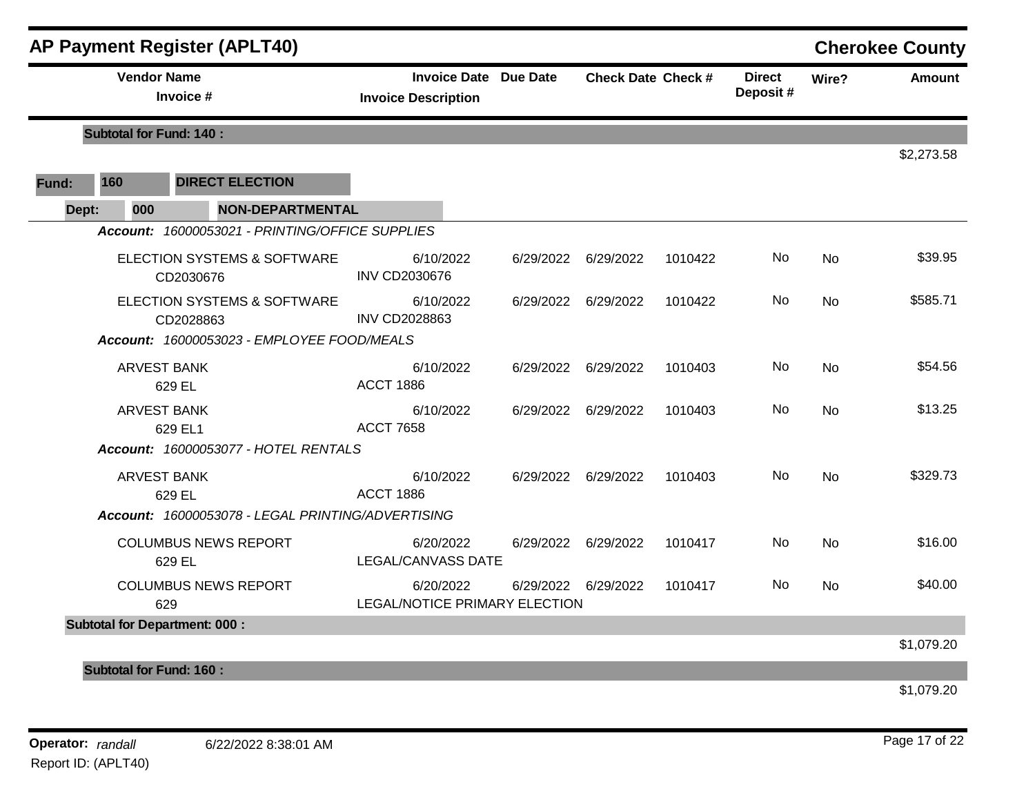|       |                                | <b>AP Payment Register (APLT40)</b>                                                    |                                                            |           |                           |         |                           |           | <b>Cherokee County</b> |
|-------|--------------------------------|----------------------------------------------------------------------------------------|------------------------------------------------------------|-----------|---------------------------|---------|---------------------------|-----------|------------------------|
|       | <b>Vendor Name</b>             | Invoice #                                                                              | <b>Invoice Date Due Date</b><br><b>Invoice Description</b> |           | <b>Check Date Check #</b> |         | <b>Direct</b><br>Deposit# | Wire?     | <b>Amount</b>          |
|       | <b>Subtotal for Fund: 140:</b> |                                                                                        |                                                            |           |                           |         |                           |           |                        |
|       |                                |                                                                                        |                                                            |           |                           |         |                           |           | \$2,273.58             |
| Fund: | 160                            | <b>DIRECT ELECTION</b>                                                                 |                                                            |           |                           |         |                           |           |                        |
| Dept: | 000                            | <b>NON-DEPARTMENTAL</b>                                                                |                                                            |           |                           |         |                           |           |                        |
|       |                                | Account: 16000053021 - PRINTING/OFFICE SUPPLIES                                        |                                                            |           |                           |         |                           |           |                        |
|       |                                | ELECTION SYSTEMS & SOFTWARE<br>CD2030676                                               | 6/10/2022<br><b>INV CD2030676</b>                          |           | 6/29/2022 6/29/2022       | 1010422 | No.                       | No.       | \$39.95                |
|       |                                | ELECTION SYSTEMS & SOFTWARE<br>CD2028863<br>Account: 16000053023 - EMPLOYEE FOOD/MEALS | 6/10/2022<br><b>INV CD2028863</b>                          |           | 6/29/2022 6/29/2022       | 1010422 | No                        | <b>No</b> | \$585.71               |
|       | <b>ARVEST BANK</b>             | 629 EL                                                                                 | 6/10/2022<br><b>ACCT 1886</b>                              | 6/29/2022 | 6/29/2022                 | 1010403 | No.                       | <b>No</b> | \$54.56                |
|       | <b>ARVEST BANK</b>             | 629 EL1                                                                                | 6/10/2022<br><b>ACCT 7658</b>                              |           | 6/29/2022 6/29/2022       | 1010403 | No.                       | <b>No</b> | \$13.25                |
|       |                                | Account: 16000053077 - HOTEL RENTALS                                                   |                                                            |           |                           |         |                           |           |                        |
|       | <b>ARVEST BANK</b>             | 629 EL                                                                                 | 6/10/2022<br><b>ACCT 1886</b>                              |           | 6/29/2022 6/29/2022       | 1010403 | No                        | No        | \$329.73               |
|       |                                | Account: 16000053078 - LEGAL PRINTING/ADVERTISING                                      |                                                            |           |                           |         |                           |           |                        |
|       |                                | <b>COLUMBUS NEWS REPORT</b><br>629 EL                                                  | 6/20/2022<br><b>LEGAL/CANVASS DATE</b>                     |           | 6/29/2022 6/29/2022       | 1010417 | No                        | <b>No</b> | \$16.00                |
|       |                                | <b>COLUMBUS NEWS REPORT</b><br>629                                                     | 6/20/2022<br>LEGAL/NOTICE PRIMARY ELECTION                 |           | 6/29/2022 6/29/2022       | 1010417 | No.                       | <b>No</b> | \$40.00                |
|       |                                | <b>Subtotal for Department: 000:</b>                                                   |                                                            |           |                           |         |                           |           | \$1,079.20             |
|       | <b>Subtotal for Fund: 160:</b> |                                                                                        |                                                            |           |                           |         |                           |           |                        |
|       |                                |                                                                                        |                                                            |           |                           |         |                           |           |                        |

\$1,079.20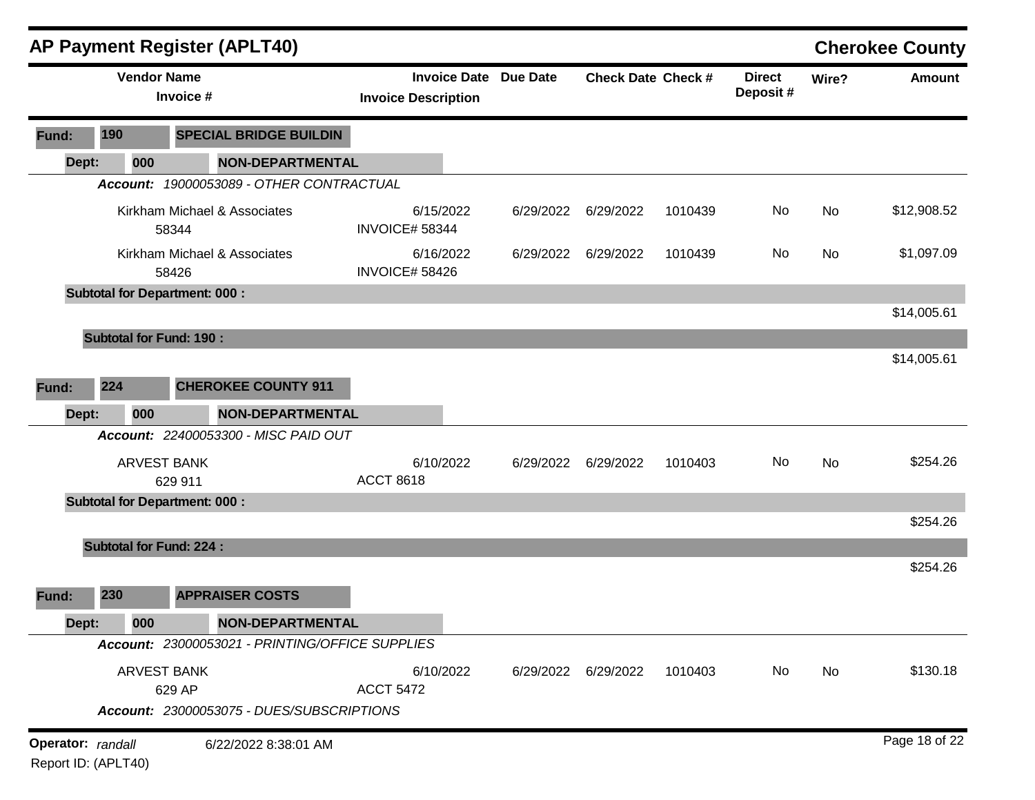|                   |                     | <b>AP Payment Register (APLT40)</b>                                |                                                            |           |                           |         |                            |       | <b>Cherokee County</b> |
|-------------------|---------------------|--------------------------------------------------------------------|------------------------------------------------------------|-----------|---------------------------|---------|----------------------------|-------|------------------------|
|                   |                     | <b>Vendor Name</b><br>Invoice #                                    | <b>Invoice Date Due Date</b><br><b>Invoice Description</b> |           | <b>Check Date Check #</b> |         | <b>Direct</b><br>Deposit # | Wire? | <b>Amount</b>          |
| Fund:             | 190                 | <b>SPECIAL BRIDGE BUILDIN</b>                                      |                                                            |           |                           |         |                            |       |                        |
| Dept:             | 000                 | <b>NON-DEPARTMENTAL</b>                                            |                                                            |           |                           |         |                            |       |                        |
|                   |                     | Account: 19000053089 - OTHER CONTRACTUAL                           |                                                            |           |                           |         |                            |       |                        |
|                   |                     | Kirkham Michael & Associates<br>58344                              | 6/15/2022<br>INVOICE# 58344                                | 6/29/2022 | 6/29/2022                 | 1010439 | No                         | No    | \$12,908.52            |
|                   |                     | Kirkham Michael & Associates<br>58426                              | 6/16/2022<br>INVOICE# 58426                                | 6/29/2022 | 6/29/2022                 | 1010439 | No                         | No    | \$1,097.09             |
|                   |                     | <b>Subtotal for Department: 000:</b>                               |                                                            |           |                           |         |                            |       |                        |
|                   |                     |                                                                    |                                                            |           |                           |         |                            |       | \$14,005.61            |
|                   |                     | <b>Subtotal for Fund: 190:</b>                                     |                                                            |           |                           |         |                            |       | \$14,005.61            |
| Fund:             | 224                 | <b>CHEROKEE COUNTY 911</b>                                         |                                                            |           |                           |         |                            |       |                        |
| Dept:             | 000                 | <b>NON-DEPARTMENTAL</b>                                            |                                                            |           |                           |         |                            |       |                        |
|                   |                     | Account: 22400053300 - MISC PAID OUT                               |                                                            |           |                           |         |                            |       |                        |
|                   |                     | <b>ARVEST BANK</b><br>629 911                                      | 6/10/2022<br><b>ACCT 8618</b>                              | 6/29/2022 | 6/29/2022                 | 1010403 | No                         | No    | \$254.26               |
|                   |                     | <b>Subtotal for Department: 000:</b>                               |                                                            |           |                           |         |                            |       |                        |
|                   |                     |                                                                    |                                                            |           |                           |         |                            |       | \$254.26               |
|                   |                     | <b>Subtotal for Fund: 224:</b>                                     |                                                            |           |                           |         |                            |       |                        |
| Fund:             | 230                 | <b>APPRAISER COSTS</b>                                             |                                                            |           |                           |         |                            |       | \$254.26               |
| Dept:             | 000                 | NON-DEPARTMENTAL                                                   |                                                            |           |                           |         |                            |       |                        |
|                   |                     | Account: 23000053021 - PRINTING/OFFICE SUPPLIES                    |                                                            |           |                           |         |                            |       |                        |
|                   |                     | ARVEST BANK<br>629 AP<br>Account: 23000053075 - DUES/SUBSCRIPTIONS | 6/10/2022<br><b>ACCT 5472</b>                              | 6/29/2022 | 6/29/2022                 | 1010403 | No                         | No    | \$130.18               |
| Operator: randall | Report ID: (APLT40) | 6/22/2022 8:38:01 AM                                               |                                                            |           |                           |         |                            |       | Page 18 of 22          |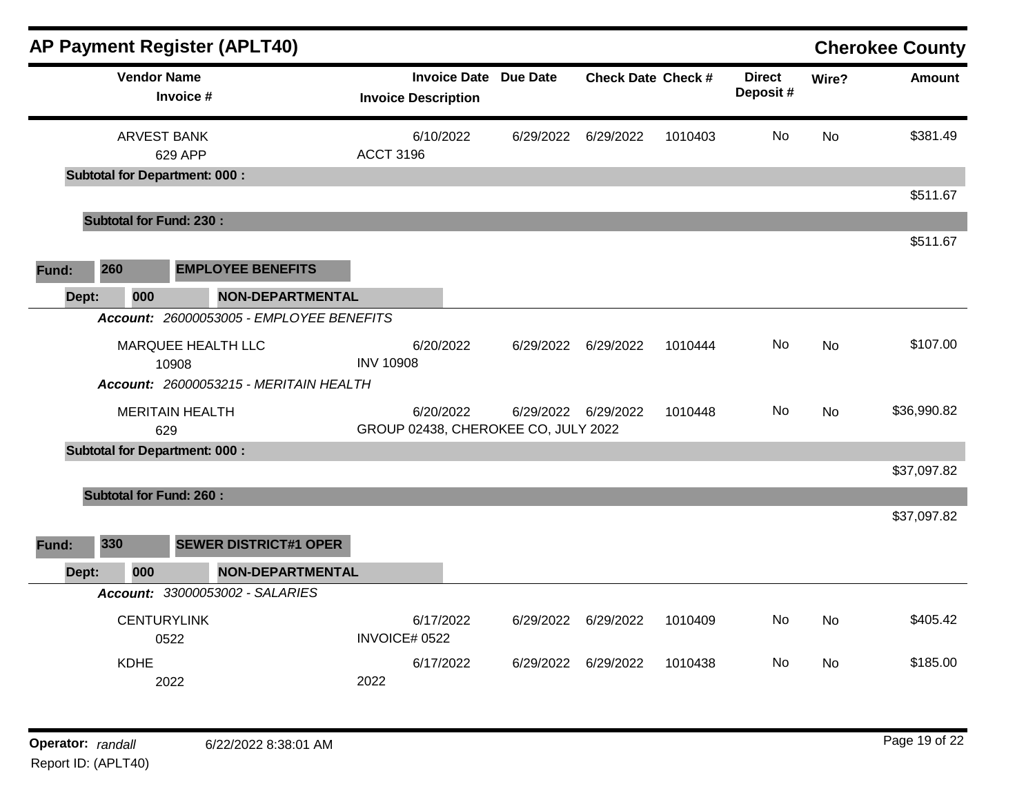|              |                                      | <b>AP Payment Register (APLT40)</b>                                                                      |                  |                                                            |           |                             |         |                           |       | <b>Cherokee County</b> |
|--------------|--------------------------------------|----------------------------------------------------------------------------------------------------------|------------------|------------------------------------------------------------|-----------|-----------------------------|---------|---------------------------|-------|------------------------|
|              | <b>Vendor Name</b><br>Invoice #      |                                                                                                          |                  | <b>Invoice Date Due Date</b><br><b>Invoice Description</b> |           | <b>Check Date Check #</b>   |         | <b>Direct</b><br>Deposit# | Wire? | <b>Amount</b>          |
|              | <b>ARVEST BANK</b><br>629 APP        |                                                                                                          | <b>ACCT 3196</b> | 6/10/2022                                                  | 6/29/2022 | 6/29/2022                   | 1010403 | No                        | No    | \$381.49               |
|              | <b>Subtotal for Department: 000:</b> |                                                                                                          |                  |                                                            |           |                             |         |                           |       | \$511.67               |
|              | <b>Subtotal for Fund: 230:</b>       |                                                                                                          |                  |                                                            |           |                             |         |                           |       |                        |
| 260<br>Fund: |                                      | <b>EMPLOYEE BENEFITS</b>                                                                                 |                  |                                                            |           |                             |         |                           |       | \$511.67               |
| Dept:        | 000                                  | <b>NON-DEPARTMENTAL</b>                                                                                  |                  |                                                            |           |                             |         |                           |       |                        |
|              | 10908                                | Account: 26000053005 - EMPLOYEE BENEFITS<br>MARQUEE HEALTH LLC<br>Account: 26000053215 - MERITAIN HEALTH | <b>INV 10908</b> | 6/20/2022                                                  | 6/29/2022 | 6/29/2022                   | 1010444 | No                        | No    | \$107.00               |
|              | <b>MERITAIN HEALTH</b><br>629        |                                                                                                          |                  | 6/20/2022<br>GROUP 02438, CHEROKEE CO, JULY 2022           |           | 6/29/2022 6/29/2022         | 1010448 | No                        | No    | \$36,990.82            |
|              | <b>Subtotal for Department: 000:</b> |                                                                                                          |                  |                                                            |           |                             |         |                           |       |                        |
|              |                                      |                                                                                                          |                  |                                                            |           |                             |         |                           |       | \$37,097.82            |
| 330<br>Fund: | <b>Subtotal for Fund: 260:</b>       | <b>SEWER DISTRICT#1 OPER</b>                                                                             |                  |                                                            |           |                             |         |                           |       | \$37,097.82            |
| Dept:        | 000                                  | <b>NON-DEPARTMENTAL</b>                                                                                  |                  |                                                            |           |                             |         |                           |       |                        |
|              |                                      | Account: 33000053002 - SALARIES                                                                          |                  |                                                            |           |                             |         |                           |       |                        |
|              | <b>CENTURYLINK</b><br>0522           |                                                                                                          | INVOICE# 0522    | 6/17/2022                                                  |           | 6/29/2022 6/29/2022 1010409 |         |                           | No No | \$405.42               |
|              | <b>KDHE</b><br>2022                  |                                                                                                          | 2022             | 6/17/2022                                                  |           | 6/29/2022 6/29/2022 1010438 |         | No                        | No    | \$185.00               |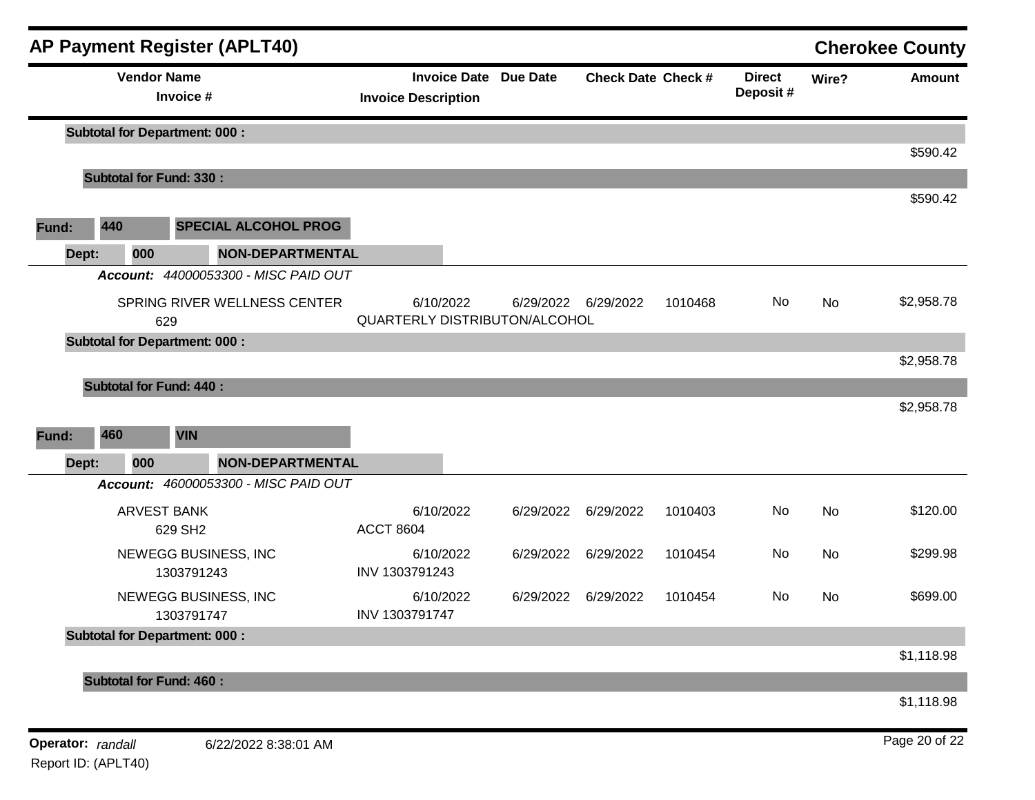| <b>Vendor Name</b><br><b>Invoice Date Due Date</b><br><b>Direct</b><br><b>Check Date Check #</b><br>Wire?<br>Deposit #<br>Invoice #<br><b>Invoice Description</b><br><b>Subtotal for Department: 000:</b><br><b>Subtotal for Fund: 330:</b><br>440<br><b>SPECIAL ALCOHOL PROG</b><br>Fund:<br><b>NON-DEPARTMENTAL</b><br>Dept:<br>000<br>Account: 44000053300 - MISC PAID OUT<br>SPRING RIVER WELLNESS CENTER<br>6/10/2022<br>6/29/2022 6/29/2022<br>No<br>No<br>1010468<br>QUARTERLY DISTRIBUTON/ALCOHOL<br>629<br><b>Subtotal for Department: 000:</b><br><b>Subtotal for Fund: 440:</b><br>460<br><b>VIN</b><br>Fund:<br>000<br><b>NON-DEPARTMENTAL</b><br>Dept:<br>Account: 46000053300 - MISC PAID OUT<br>No<br><b>ARVEST BANK</b><br>6/10/2022<br>6/29/2022<br>6/29/2022<br>No<br>1010403<br><b>ACCT 8604</b><br>629 SH2<br>No<br>NEWEGG BUSINESS, INC<br>6/10/2022<br>6/29/2022<br>6/29/2022<br>1010454<br>No<br>INV 1303791243<br>1303791243<br>NEWEGG BUSINESS, INC<br>6/10/2022<br>6/29/2022<br>6/29/2022<br>1010454<br>No<br>No<br>INV 1303791747<br>1303791747<br><b>Subtotal for Department: 000:</b><br><b>Subtotal for Fund: 460:</b> |  | <b>AP Payment Register (APLT40)</b> |  |  |  | <b>Cherokee County</b> |
|------------------------------------------------------------------------------------------------------------------------------------------------------------------------------------------------------------------------------------------------------------------------------------------------------------------------------------------------------------------------------------------------------------------------------------------------------------------------------------------------------------------------------------------------------------------------------------------------------------------------------------------------------------------------------------------------------------------------------------------------------------------------------------------------------------------------------------------------------------------------------------------------------------------------------------------------------------------------------------------------------------------------------------------------------------------------------------------------------------------------------------------------------|--|-------------------------------------|--|--|--|------------------------|
|                                                                                                                                                                                                                                                                                                                                                                                                                                                                                                                                                                                                                                                                                                                                                                                                                                                                                                                                                                                                                                                                                                                                                      |  |                                     |  |  |  | <b>Amount</b>          |
|                                                                                                                                                                                                                                                                                                                                                                                                                                                                                                                                                                                                                                                                                                                                                                                                                                                                                                                                                                                                                                                                                                                                                      |  |                                     |  |  |  | \$590.42               |
|                                                                                                                                                                                                                                                                                                                                                                                                                                                                                                                                                                                                                                                                                                                                                                                                                                                                                                                                                                                                                                                                                                                                                      |  |                                     |  |  |  |                        |
|                                                                                                                                                                                                                                                                                                                                                                                                                                                                                                                                                                                                                                                                                                                                                                                                                                                                                                                                                                                                                                                                                                                                                      |  |                                     |  |  |  | \$590.42               |
|                                                                                                                                                                                                                                                                                                                                                                                                                                                                                                                                                                                                                                                                                                                                                                                                                                                                                                                                                                                                                                                                                                                                                      |  |                                     |  |  |  |                        |
|                                                                                                                                                                                                                                                                                                                                                                                                                                                                                                                                                                                                                                                                                                                                                                                                                                                                                                                                                                                                                                                                                                                                                      |  |                                     |  |  |  |                        |
|                                                                                                                                                                                                                                                                                                                                                                                                                                                                                                                                                                                                                                                                                                                                                                                                                                                                                                                                                                                                                                                                                                                                                      |  |                                     |  |  |  | \$2,958.78             |
|                                                                                                                                                                                                                                                                                                                                                                                                                                                                                                                                                                                                                                                                                                                                                                                                                                                                                                                                                                                                                                                                                                                                                      |  |                                     |  |  |  |                        |
|                                                                                                                                                                                                                                                                                                                                                                                                                                                                                                                                                                                                                                                                                                                                                                                                                                                                                                                                                                                                                                                                                                                                                      |  |                                     |  |  |  | \$2,958.78             |
|                                                                                                                                                                                                                                                                                                                                                                                                                                                                                                                                                                                                                                                                                                                                                                                                                                                                                                                                                                                                                                                                                                                                                      |  |                                     |  |  |  | \$2,958.78             |
|                                                                                                                                                                                                                                                                                                                                                                                                                                                                                                                                                                                                                                                                                                                                                                                                                                                                                                                                                                                                                                                                                                                                                      |  |                                     |  |  |  |                        |
|                                                                                                                                                                                                                                                                                                                                                                                                                                                                                                                                                                                                                                                                                                                                                                                                                                                                                                                                                                                                                                                                                                                                                      |  |                                     |  |  |  |                        |
|                                                                                                                                                                                                                                                                                                                                                                                                                                                                                                                                                                                                                                                                                                                                                                                                                                                                                                                                                                                                                                                                                                                                                      |  |                                     |  |  |  | \$120.00               |
|                                                                                                                                                                                                                                                                                                                                                                                                                                                                                                                                                                                                                                                                                                                                                                                                                                                                                                                                                                                                                                                                                                                                                      |  |                                     |  |  |  | \$299.98               |
|                                                                                                                                                                                                                                                                                                                                                                                                                                                                                                                                                                                                                                                                                                                                                                                                                                                                                                                                                                                                                                                                                                                                                      |  |                                     |  |  |  | \$699.00               |
|                                                                                                                                                                                                                                                                                                                                                                                                                                                                                                                                                                                                                                                                                                                                                                                                                                                                                                                                                                                                                                                                                                                                                      |  |                                     |  |  |  |                        |
|                                                                                                                                                                                                                                                                                                                                                                                                                                                                                                                                                                                                                                                                                                                                                                                                                                                                                                                                                                                                                                                                                                                                                      |  |                                     |  |  |  | \$1,118.98             |
|                                                                                                                                                                                                                                                                                                                                                                                                                                                                                                                                                                                                                                                                                                                                                                                                                                                                                                                                                                                                                                                                                                                                                      |  |                                     |  |  |  | \$1,118.98             |
| Operator: randall<br>6/22/2022 8:38:01 AM                                                                                                                                                                                                                                                                                                                                                                                                                                                                                                                                                                                                                                                                                                                                                                                                                                                                                                                                                                                                                                                                                                            |  |                                     |  |  |  | Page 20 of 22          |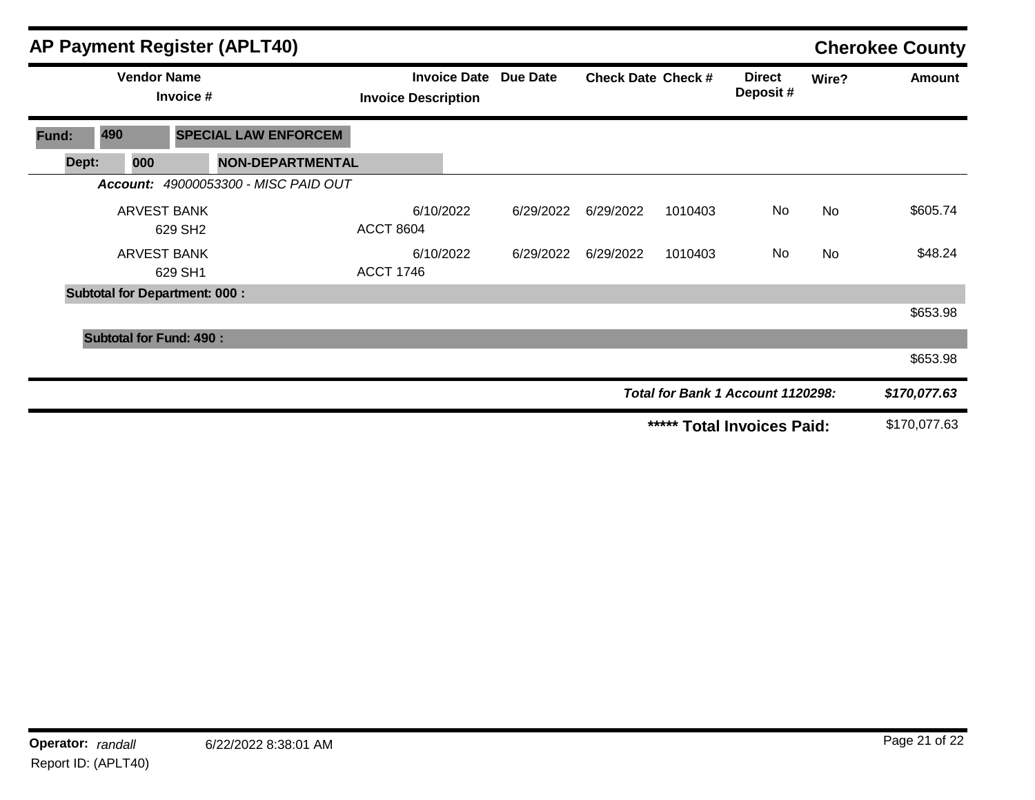|       |     |                    |                                      | <b>AP Payment Register (APLT40)</b>         |                            |           |                              |                           |         |                                   |           | <b>Cherokee County</b> |
|-------|-----|--------------------|--------------------------------------|---------------------------------------------|----------------------------|-----------|------------------------------|---------------------------|---------|-----------------------------------|-----------|------------------------|
|       |     | <b>Vendor Name</b> | Invoice #                            |                                             | <b>Invoice Description</b> |           | <b>Invoice Date Due Date</b> | <b>Check Date Check #</b> |         | <b>Direct</b><br>Deposit#         | Wire?     | <b>Amount</b>          |
| Fund: | 490 |                    |                                      | <b>SPECIAL LAW ENFORCEM</b>                 |                            |           |                              |                           |         |                                   |           |                        |
| Dept: |     | 000                |                                      | <b>NON-DEPARTMENTAL</b>                     |                            |           |                              |                           |         |                                   |           |                        |
|       |     |                    |                                      | <b>Account: 49000053300 - MISC PAID OUT</b> |                            |           |                              |                           |         |                                   |           |                        |
|       |     |                    | <b>ARVEST BANK</b><br>629 SH2        |                                             | <b>ACCT 8604</b>           | 6/10/2022 | 6/29/2022                    | 6/29/2022                 | 1010403 | No                                | <b>No</b> | \$605.74               |
|       |     |                    | <b>ARVEST BANK</b><br>629 SH1        |                                             | <b>ACCT 1746</b>           | 6/10/2022 | 6/29/2022                    | 6/29/2022                 | 1010403 | No                                | <b>No</b> | \$48.24                |
|       |     |                    | <b>Subtotal for Department: 000:</b> |                                             |                            |           |                              |                           |         |                                   |           |                        |
|       |     |                    |                                      |                                             |                            |           |                              |                           |         |                                   |           | \$653.98               |
|       |     |                    | <b>Subtotal for Fund: 490:</b>       |                                             |                            |           |                              |                           |         |                                   |           |                        |
|       |     |                    |                                      |                                             |                            |           |                              |                           |         |                                   |           | \$653.98               |
|       |     |                    |                                      |                                             |                            |           |                              |                           |         | Total for Bank 1 Account 1120298: |           | \$170,077.63           |
|       |     |                    |                                      |                                             |                            |           |                              |                           | *****   | <b>Total Invoices Paid:</b>       |           | \$170,077.63           |